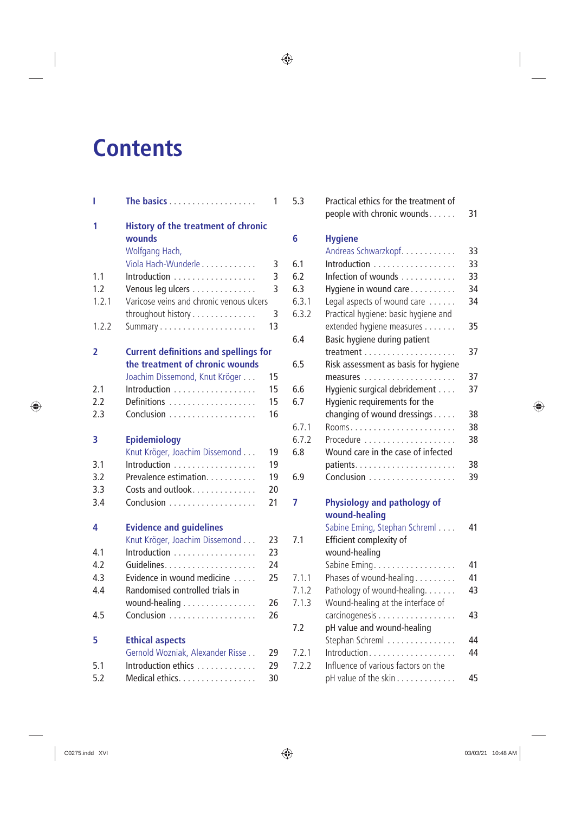# **Contents**

| I     |                                                                        | 1              |
|-------|------------------------------------------------------------------------|----------------|
| 1     | <b>History of the treatment of chronic</b><br>wounds<br>Wolfgang Hach, |                |
|       | Viola Hach-Wunderle                                                    | 3              |
| 1.1   | Introduction                                                           | 3              |
| 1.2   | Venous leg ulcers                                                      | $\overline{3}$ |
| 1.2.1 | Varicose veins and chronic venous ulcers                               |                |
|       | throughout history                                                     | 3              |
| 1.2.2 |                                                                        | 13             |
| 2     | <b>Current definitions and spellings for</b>                           |                |
|       | the treatment of chronic wounds                                        |                |
|       | Joachim Dissemond, Knut Kröger                                         | 15             |
| 2.1   | Introduction                                                           | 15             |
| 2.2   | Definitions                                                            | 15             |
| 2.3   |                                                                        | 16             |
| 3     | <b>Epidemiology</b>                                                    |                |
|       | Knut Kröger, Joachim Dissemond                                         | 19             |
| 3.1   | Introduction                                                           | 19             |
| 3.2   | Prevalence estimation.                                                 | 19             |
| 3.3   | Costs and outlook                                                      | 20             |
| 3.4   |                                                                        | 21             |
| 4     | <b>Evidence and guidelines</b>                                         |                |
|       | Knut Kröger, Joachim Dissemond                                         | 23             |
| 4.1   | Introduction                                                           | 23             |
| 4.2   |                                                                        | 24             |
| 4.3   | Evidence in wound medicine                                             | 25             |
| 4.4   | Randomised controlled trials in                                        |                |
|       | wound-healing                                                          | 26             |
| 4.5   |                                                                        | 26             |
| 5     | <b>Ethical aspects</b>                                                 |                |
|       | Gernold Wozniak, Alexander Risse                                       | 29             |
| 5.1   | Introduction ethics                                                    | 29             |
| 5.2   | Medical ethics.                                                        | 30             |

| 5.3          | Practical ethics for the treatment of<br>people with chronic wounds. | 31       |
|--------------|----------------------------------------------------------------------|----------|
| 6            | <b>Hygiene</b>                                                       |          |
|              | Andreas Schwarzkopf                                                  | 33       |
| 6.1<br>6.2   | Introduction                                                         | 33<br>33 |
|              | Infection of wounds                                                  | 34       |
| 6.3<br>6.3.1 | Hygiene in wound care                                                | 34       |
| 6.3.2        | Legal aspects of wound care                                          |          |
|              | Practical hygiene: basic hygiene and                                 | 35       |
| 6.4          | extended hygiene measures<br>Basic hygiene during patient            |          |
|              |                                                                      | 37       |
| 6.5          | Risk assessment as basis for hygiene                                 |          |
|              |                                                                      | 37       |
| 6.6          | Hygienic surgical debridement                                        | 37       |
| 6.7          | Hygienic requirements for the                                        |          |
|              | changing of wound dressings                                          | 38       |
| 6.7.1        |                                                                      | 38       |
| 6.7.2        | Procedure                                                            | 38       |
| 6.8          | Wound care in the case of infected                                   |          |
|              |                                                                      | 38       |
| 6.9          |                                                                      | 39       |
|              |                                                                      |          |
| 7            | <b>Physiology and pathology of</b>                                   |          |
|              | wound-healing                                                        |          |
|              | Sabine Eming, Stephan Schreml                                        | 41       |
| 7.1          | Efficient complexity of                                              |          |
|              | wound-healing                                                        |          |
|              | Sabine Eming.                                                        | 41       |
| 7.1.1        | Phases of wound-healing                                              | 41       |
| 7.1.2        | Pathology of wound-healing.                                          | 43       |
| 7.1.3        | Wound-healing at the interface of                                    |          |
|              | carcinogenesis                                                       | 43       |
| 7.2          | pH value and wound-healing                                           |          |
|              | Stephan Schreml                                                      | 44       |
| 7.2.1        | Introduction                                                         | 44       |
| 7.2.2        | Influence of various factors on the                                  |          |
|              | pH value of the skin                                                 | 45       |

 $\bigoplus$ 

 $\bigoplus$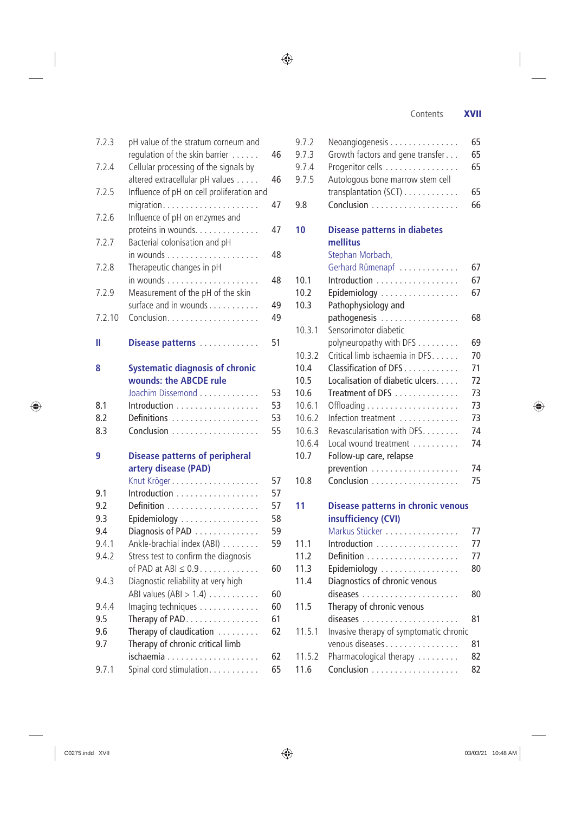$\bigoplus$ 

|        | regulation of the skin barrier $\dots$ .  | 46 |
|--------|-------------------------------------------|----|
| 7.2.4  | Cellular processing of the signals by     |    |
|        | altered extracellular pH values           | 46 |
| 7.2.5  | Influence of pH on cell proliferation and |    |
|        | migration                                 | 47 |
| 7.2.6  | Influence of pH on enzymes and            |    |
|        | proteins in wounds.                       | 47 |
| 7.2.7  | Bacterial colonisation and pH             |    |
|        |                                           | 48 |
| 7.2.8  | Therapeutic changes in pH                 |    |
|        |                                           | 48 |
| 7.2.9  | Measurement of the pH of the skin         |    |
|        | surface and in wounds                     | 49 |
| 7.2.10 |                                           | 49 |
| Ш      | Disease patterns                          | 51 |
|        |                                           |    |
| 8      | <b>Systematic diagnosis of chronic</b>    |    |
|        | wounds: the ABCDE rule                    |    |
|        | Joachim Dissemond                         | 53 |
| 8.1    | Introduction                              | 53 |
| 8.2    | Definitions                               | 53 |
| 8.3    |                                           | 55 |
|        |                                           |    |
| 9      | <b>Disease patterns of peripheral</b>     |    |
|        | artery disease (PAD)                      |    |
|        | Knut Kröger                               | 57 |
| 9.1    | Introduction                              | 57 |
| 9.2    |                                           | 57 |
| 9.3    | Epidemiology                              | 58 |
| 9.4    | Diagnosis of PAD                          | 59 |
| 9.4.1  | Ankle-brachial index (ABI)                | 59 |
| 9.4.2  | Stress test to confirm the diagnosis      |    |
|        | of PAD at ABI $\leq 0.9$                  | 60 |
| 9.4.3  | Diagnostic reliability at very high       |    |
|        | ABI values $(ABI > 1.4)$                  | 60 |
| 9.4.4  | Imaging techniques                        | 60 |
| 9.5    | Therapy of PAD                            | 61 |
| 9.6    | Therapy of claudication                   | 62 |
| 9.7    | Therapy of chronic critical limb          |    |
|        | ischaemia<br>.                            | 62 |
| 9.7.1  | Spinal cord stimulation.                  | 65 |

7.2.3 pH value of the stratum corneum and

 $\bigoplus$ 

| 9.7.2          | Neoangiogenesis                                                  | 65       |
|----------------|------------------------------------------------------------------|----------|
| 9.7.3<br>9.7.4 | Growth factors and gene transfer<br>Progenitor cells             | 65<br>65 |
| 9.7.5          | Autologous bone marrow stem cell<br>transplantation (SCT)        | 65       |
| 9.8            | Conclusion                                                       | 66       |
| 10             | <b>Disease patterns in diabetes</b>                              |          |
|                | mellitus                                                         |          |
|                | Stephan Morbach,                                                 |          |
|                | Gerhard Rümenapf                                                 | 67       |
| 10.1<br>10.2   | Introduction                                                     | 67<br>67 |
| 10.3           | Epidemiology<br>Pathophysiology and                              |          |
|                | pathogenesis                                                     | 68       |
| 10.3.1         | Sensorimotor diabetic                                            |          |
|                | polyneuropathy with DFS                                          | 69       |
| 10.3.2         | Critical limb ischaemia in DFS.                                  | 70       |
| 10.4           | Classification of DFS                                            | 71       |
| 10.5           | Localisation of diabetic ulcers                                  | 72       |
| 10.6           | Treatment of DFS                                                 | 73       |
| 10.6.1         |                                                                  | 73       |
| 10.6.2         | Infection treatment                                              | 73       |
| 10.6.3         | Revascularisation with DFS.                                      | 74       |
| 10.6.4         | Local wound treatment                                            | 74       |
| 10.7           | Follow-up care, relapse                                          |          |
|                |                                                                  | 74       |
| 10.8           |                                                                  | 75       |
| 11             | <b>Disease patterns in chronic venous</b><br>insufficiency (CVI) |          |
|                | Markus Stücker                                                   | 77       |
| 11.1           | Introduction                                                     | 77       |
| 11.2           |                                                                  | 77       |
| 11.3           | Epidemiology                                                     | 80       |
| 11.4           | Diagnostics of chronic venous                                    |          |
|                |                                                                  | 80       |
| 11.5           | Therapy of chronic venous                                        |          |
|                |                                                                  | 81       |
| 11.5.1         | Invasive therapy of symptomatic chronic                          |          |
|                | venous diseases                                                  | 81       |
| 11.5.2         | Pharmacological therapy                                          | 82       |
| 11.6           |                                                                  | 82       |
|                |                                                                  |          |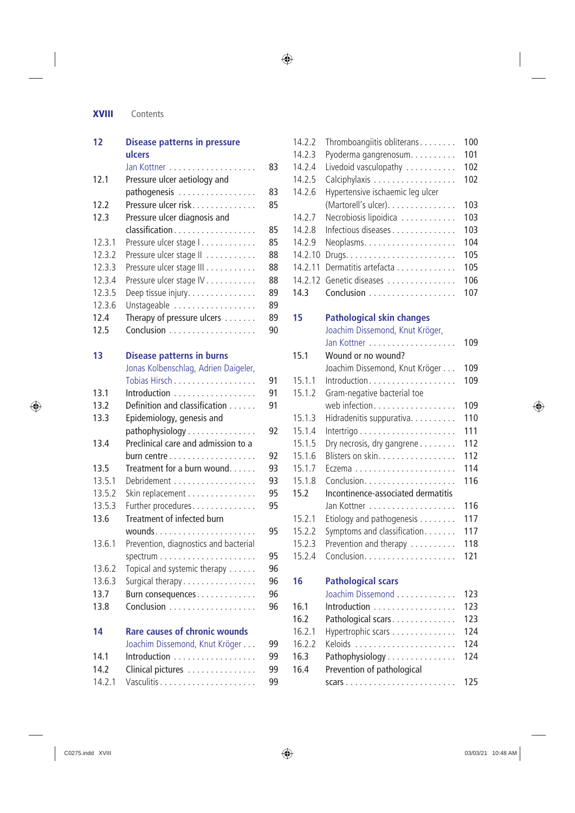## **XVIII** Contents

| 12     | <b>Disease patterns in pressure</b><br>ulcers     |    |
|--------|---------------------------------------------------|----|
|        |                                                   | 83 |
| 12.1   | Pressure ulcer aetiology and                      |    |
|        | pathogenesis                                      | 83 |
| 12.2   | Pressure ulcer risk                               | 85 |
| 12.3   | Pressure ulcer diagnosis and                      |    |
|        | classification                                    | 85 |
| 12.3.1 | Pressure ulcer stage                              | 85 |
| 12.3.2 | Pressure ulcer stage II                           | 88 |
| 12.3.3 | Pressure ulcer stage III                          | 88 |
| 12.3.4 | Pressure ulcer stage IV                           | 88 |
| 12.3.5 | Deep tissue injury.                               | 89 |
| 12.3.6 | Unstageable                                       | 89 |
| 12.4   | Therapy of pressure ulcers                        | 89 |
| 12.5   |                                                   | 90 |
|        |                                                   |    |
| 13     | <b>Disease patterns in burns</b>                  |    |
|        | Jonas Kolbenschlag, Adrien Daigeler,              |    |
|        | Tobias Hirsch                                     | 91 |
| 13.1   | Introduction                                      | 91 |
| 13.2   | Definition and classification                     | 91 |
| 13.3   | Epidemiology, genesis and                         |    |
|        | pathophysiology                                   | 92 |
| 13.4   | Preclinical care and admission to a               |    |
|        |                                                   | 92 |
| 13.5   | Treatment for a burn wound.                       | 93 |
| 13.5.1 | Debridement                                       | 93 |
| 13.5.2 | Skin replacement                                  | 95 |
| 13.5.3 | Further procedures                                | 95 |
| 13.6   | Treatment of infected burn                        |    |
|        | wounds                                            | 95 |
| 13.6.1 | Prevention, diagnostics and bacterial             |    |
|        |                                                   | 95 |
| 13.6.2 | Topical and systemic therapy                      | 96 |
| 13.6.3 | Surgical therapy                                  | 96 |
| 13.7   | Burn consequences                                 | 96 |
| 13.8   |                                                   | 96 |
| 14     | <b>Rare causes of chronic wounds</b>              |    |
|        | Joachim Dissemond, Knut Kröger                    | 99 |
| 14.1   | Introduction $\ldots \ldots \ldots \ldots \ldots$ | 99 |
| 14.2   | Clinical pictures                                 | 99 |
| 14.2.1 |                                                   | 99 |

| 14.2.2<br>14.2.3 | Thromboangiitis obliterans<br>Pyoderma gangrenosum. | 100<br>101 |
|------------------|-----------------------------------------------------|------------|
| 14.2.4<br>14.2.5 | Livedoid vasculopathy<br>Calciphylaxis              | 102<br>102 |
| 14.2.6           | Hypertensive ischaemic leg ulcer                    |            |
|                  | (Martorell's ulcer).                                | 103        |
| 14.2.7           | Necrobiosis lipoidica                               | 103        |
| 14.2.8<br>14.2.9 | Infectious diseases                                 | 103<br>104 |
| 14.2.10          |                                                     | 105        |
| 14.2.11          | Dermatitis artefacta                                | 105        |
| 14.2.12          | Genetic diseases                                    | 106        |
| 14.3             |                                                     | 107        |
| 15               | <b>Pathological skin changes</b>                    |            |
|                  | Joachim Dissemond, Knut Kröger,                     |            |
|                  |                                                     | 109        |
| 15.1             | Wound or no wound?                                  |            |
|                  | Joachim Dissemond, Knut Kröger                      | 109        |
| 15.1.1<br>15.1.2 | Introduction                                        | 109        |
|                  | Gram-negative bacterial toe<br>web infection.       | 109        |
| 15.1.3           | Hidradenitis suppurativa.                           | 110        |
| 15.1.4           |                                                     | 111        |
| 15.1.5           | Dry necrosis, dry gangrene                          | 112        |
| 15.1.6           | Blisters on skin.                                   | 112        |
| 15.1.7           |                                                     | 114        |
| 15.1.8           |                                                     | 116        |
| 15.2             | Incontinence-associated dermatitis                  | 116        |
| 15.2.1           | Etiology and pathogenesis                           | 117        |
| 15.2.2           | Symptoms and classification                         | 117        |
| 15.2.3           | Prevention and therapy                              | 118        |
| 15.2.4           |                                                     | 121        |
| 16               | <b>Pathological scars</b>                           |            |
|                  | Joachim Dissemond                                   | 123        |
| 16.1             | Introduction                                        | 123        |
| 16.2             | Pathological scars                                  | 123        |
| 16.2.1           | Hypertrophic scars                                  | 124        |
| 16.2.2           |                                                     | 124        |
| 16.3             | Pathophysiology                                     | 124        |
| 16.4             | Prevention of pathological                          |            |
|                  |                                                     | 125        |

 $\bigoplus$ 

 $\bigoplus$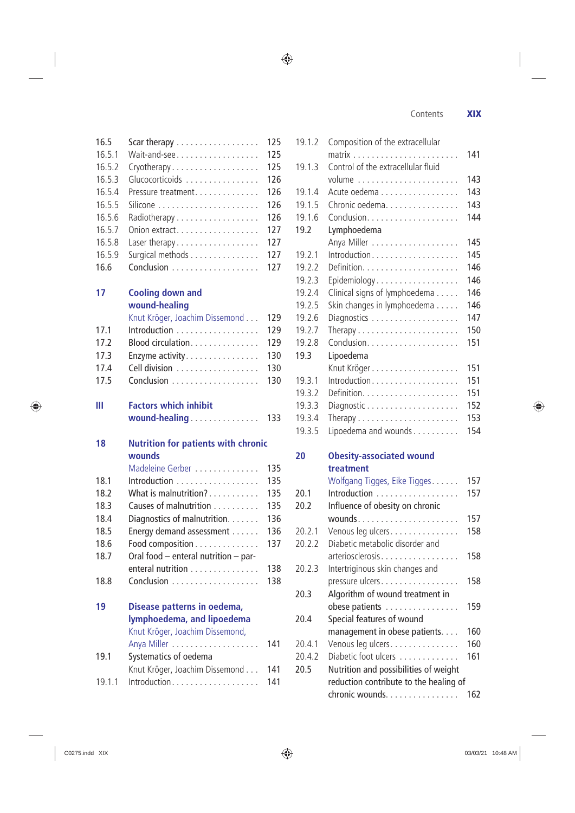$\bigoplus$ 

Contents **XIX**

| 16.5.1<br>16.5.2<br>16.5.3<br>16.5.4<br>16.5.5<br>16.5.6<br>16.5.7<br>16.5.8<br>16.5.9<br>16.6 | Wait-and-see<br>Cryotherapy<br>Glucocorticoids<br>Pressure treatment<br>Radiotherapy<br>Onion extract<br>Laser therapy<br>Surgical methods | 125<br>125<br>126<br>126<br>126<br>126<br>127<br>127<br>127<br>127 |
|------------------------------------------------------------------------------------------------|--------------------------------------------------------------------------------------------------------------------------------------------|--------------------------------------------------------------------|
| 17                                                                                             | <b>Cooling down and</b><br>wound-healing                                                                                                   |                                                                    |
|                                                                                                | Knut Kröger, Joachim Dissemond                                                                                                             | 129                                                                |
| 17.1                                                                                           | Introduction                                                                                                                               | 129                                                                |
| 17.2                                                                                           | Blood circulation.                                                                                                                         | 129                                                                |
| 17.3                                                                                           | Enzyme activity                                                                                                                            | 130                                                                |
| 17.4                                                                                           | Cell division                                                                                                                              | 130                                                                |
| 17.5                                                                                           |                                                                                                                                            | 130                                                                |
| Ш                                                                                              | <b>Factors which inhibit</b><br>wound-healing                                                                                              | 133                                                                |
|                                                                                                |                                                                                                                                            |                                                                    |
| 18                                                                                             | <b>Nutrition for patients with chronic</b><br>wounds                                                                                       |                                                                    |
|                                                                                                | Madeleine Gerber                                                                                                                           | 135                                                                |
| 18.1                                                                                           | Introduction                                                                                                                               | 135                                                                |
| 18.2                                                                                           | What is malnutrition?                                                                                                                      | 135                                                                |
| 18.3                                                                                           | Causes of malnutrition                                                                                                                     | 135                                                                |
| 18.4                                                                                           | Diagnostics of malnutrition.                                                                                                               | 136                                                                |
| 18.5                                                                                           | Energy demand assessment                                                                                                                   | 136                                                                |
| 18.6                                                                                           | Food composition                                                                                                                           | 137                                                                |
| 18.7                                                                                           | Oral food - enteral nutrition - par-                                                                                                       |                                                                    |
|                                                                                                | enteral nutrition                                                                                                                          | 138                                                                |
| 18.8                                                                                           |                                                                                                                                            | 138                                                                |
| 19                                                                                             | Disease patterns in oedema,<br>lymphoedema, and lipoedema<br>Knut Kröger, Joachim Dissemond,                                               |                                                                    |
| 19.1                                                                                           | Anya Miller<br>Systematics of oedema                                                                                                       | 141                                                                |
|                                                                                                | Knut Kröger, Joachim Dissemond                                                                                                             | 141                                                                |
| 19.1.1                                                                                         | Introduction                                                                                                                               | 141                                                                |

16.5 Scar therapy . . . . . . . . . . . . . . . . . . 125

| 19.1.2 | Composition of the extracellular       |     |
|--------|----------------------------------------|-----|
|        |                                        | 141 |
| 19.1.3 | Control of the extracellular fluid     |     |
|        |                                        | 143 |
| 19.1.4 | Acute oedema                           | 143 |
| 19.1.5 | Chronic oedema.                        | 143 |
| 19.1.6 |                                        | 144 |
| 19.2   | Lymphoedema                            |     |
|        |                                        | 145 |
| 19.2.1 | Introduction                           | 145 |
| 19.2.2 |                                        | 146 |
| 19.2.3 | Epidemiology                           | 146 |
| 19.2.4 | Clinical signs of lymphoedema          | 146 |
| 19.2.5 | Skin changes in lymphoedema            | 146 |
| 19.2.6 | Diagnostics                            | 147 |
| 19.2.7 | Therapy                                | 150 |
| 19.2.8 |                                        | 151 |
| 19.3   | Lipoedema                              |     |
|        |                                        | 151 |
| 19.3.1 | Introduction                           | 151 |
| 19.3.2 |                                        | 151 |
| 19.3.3 |                                        | 152 |
| 19.3.4 | Therapy                                | 153 |
| 19.3.5 | Lipoedema and wounds                   | 154 |
|        |                                        |     |
| 20     | <b>Obesity-associated wound</b>        |     |
|        | treatment                              |     |
|        | Wolfgang Tigges, Eike Tigges.          | 157 |
| 20.1   | Introduction                           | 157 |
| 20.2   | Influence of obesity on chronic        |     |
|        |                                        | 157 |
| 20.2.1 | Venous leg ulcers.                     | 158 |
| 20.2.2 | Diabetic metabolic disorder and        |     |
|        | arteriosclerosis                       | 158 |
| 20.2.3 | Intertriginous skin changes and        |     |
|        | pressure ulcers                        | 158 |
| 20.3   | Algorithm of wound treatment in        |     |
|        | obese patients                         | 159 |
| 20.4   | Special features of wound              |     |
|        | management in obese patients.          | 160 |
| 20.4.1 | Venous leg ulcers.                     | 160 |
| 20.4.2 | Diabetic foot ulcers                   | 161 |
| 20.5   | Nutrition and possibilities of weight  |     |
|        | reduction contribute to the healing of |     |
|        | chronic wounds.                        | 162 |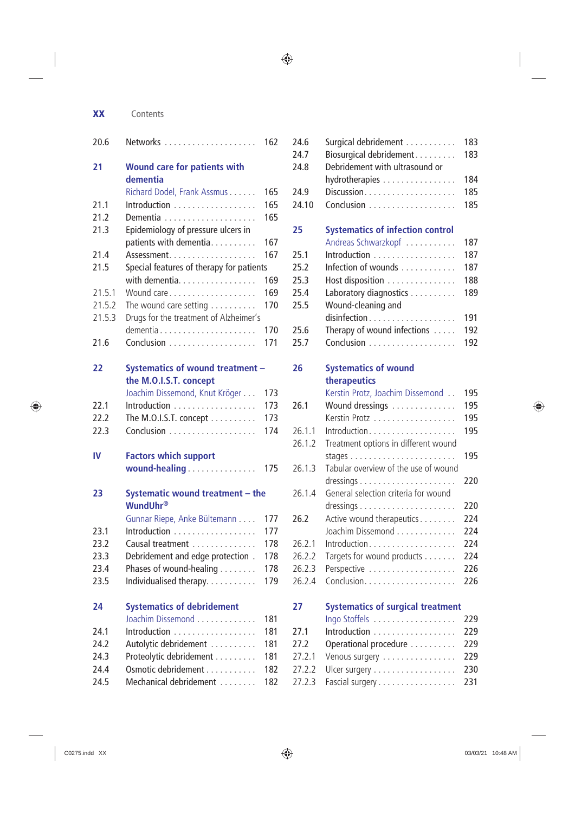| ×. | I<br>٦<br>I<br>٧ |
|----|------------------|

#### **XX** Contents

| 20.6   |                                                 | 162 |
|--------|-------------------------------------------------|-----|
| 21     | <b>Wound care for patients with</b><br>dementia |     |
|        | Richard Dodel, Frank Assmus                     | 165 |
| 21.1   | Introduction                                    | 165 |
| 21.2   |                                                 | 165 |
| 21.3   | Epidemiology of pressure ulcers in              |     |
|        | patients with dementia                          | 167 |
| 21.4   | Assessment                                      | 167 |
| 21.5   | Special features of therapy for patients        |     |
|        | with dementia.                                  | 169 |
| 21.5.1 | Wound care                                      | 169 |
| 21.5.2 | The wound care setting $\dots\dots\dots$        | 170 |
| 21.5.3 | Drugs for the treatment of Alzheimer's          |     |
|        |                                                 | 170 |
| 21.6   |                                                 | 171 |
|        |                                                 |     |
| 22     | Systematics of wound treatment -                |     |
|        | the M.O.I.S.T. concept                          |     |
|        | Joachim Dissemond, Knut Kröger                  | 173 |
| 22.1   | Introduction                                    | 173 |
| 22.2   | The M.O.I.S.T. concept $\dots\dots\dots$        | 173 |
| 22.3   |                                                 | 174 |
| IV     | <b>Factors which support</b>                    |     |
|        | wound-healing                                   | 175 |
|        |                                                 |     |
| 23     | Systematic wound treatment - the                |     |
|        | <b>WundUhr®</b>                                 |     |
|        | Gunnar Riepe, Anke Bültemann                    | 177 |
| 23.1   | Introduction                                    | 177 |
| 23.2   | Causal treatment                                | 178 |
| 23.3   | Debridement and edge protection.                | 178 |
| 23.4   | Phases of wound-healing                         | 178 |
| 23.5   | Individualised therapy                          | 179 |
| 24     | <b>Systematics of debridement</b>               |     |
|        | Joachim Dissemond                               | 181 |
| 24.1   | Introduction                                    | 181 |
| 24.2   | Autolytic debridement                           | 181 |
| 24.3   | Proteolytic debridement                         | 181 |
| 24.4   | Osmotic debridement                             | 182 |
| 24.5   | Mechanical debridement                          | 182 |

| 24.6<br>24.7<br>24.8 | Surgical debridement<br>Biosurgical debridement<br>Debridement with ultrasound or | 183<br>183 |
|----------------------|-----------------------------------------------------------------------------------|------------|
|                      | hydrotherapies                                                                    | 184<br>185 |
| 24.9<br>24.10        | Discussion                                                                        | 185        |
|                      |                                                                                   |            |
| 25                   | <b>Systematics of infection control</b>                                           |            |
|                      | Andreas Schwarzkopf                                                               | 187        |
| 25.1                 | Introduction                                                                      | 187        |
| 25.2                 | Infection of wounds                                                               | 187        |
| 25.3                 | Host disposition                                                                  | 188        |
| 25.4                 | Laboratory diagnostics                                                            | 189        |
| 25.5                 | Wound-cleaning and                                                                |            |
|                      |                                                                                   | 191        |
| 25.6                 | Therapy of wound infections                                                       | 192        |
| 25.7                 |                                                                                   | 192        |
| 26                   | <b>Systematics of wound</b>                                                       |            |
|                      | therapeutics                                                                      |            |
|                      | Kerstin Protz, Joachim Dissemond                                                  | 195        |
| 26.1                 | Wound dressings                                                                   | 195        |
|                      | Kerstin Protz                                                                     | 195        |
| 26.1.1               | Introduction                                                                      | 195        |
| 26.1.2               | Treatment options in different wound                                              |            |
|                      |                                                                                   | 195        |
| 26.1.3               | Tabular overview of the use of wound                                              |            |
|                      |                                                                                   | 220        |
| 26.1.4               | General selection criteria for wound                                              |            |
|                      |                                                                                   | 220        |
| 26.2                 | Active wound therapeutics                                                         | 224        |
|                      | Joachim Dissemond                                                                 | 224        |
| 26.2.1               | Introduction                                                                      | 224        |
| 26.2.2               | Targets for wound products                                                        | 224        |
| 26.2.3               | Perspective                                                                       | 226        |
| 26.2.4               |                                                                                   | 226        |
|                      |                                                                                   |            |
| 27                   | <b>Systematics of surgical treatment</b>                                          |            |
|                      | Ingo Stoffels                                                                     | 229        |
| 27.1                 | Introduction                                                                      | 229        |
| 27.2                 | Operational procedure                                                             | 229        |
| 27.2.1               | Venous surgery                                                                    | 229        |

27.2.2 Ulcer surgery . . . . . . . . . . . . . . . . . . 230 27.2.3 Fascial surgery . . . . . . . . . . . . . . . . . 231

 $\bigoplus$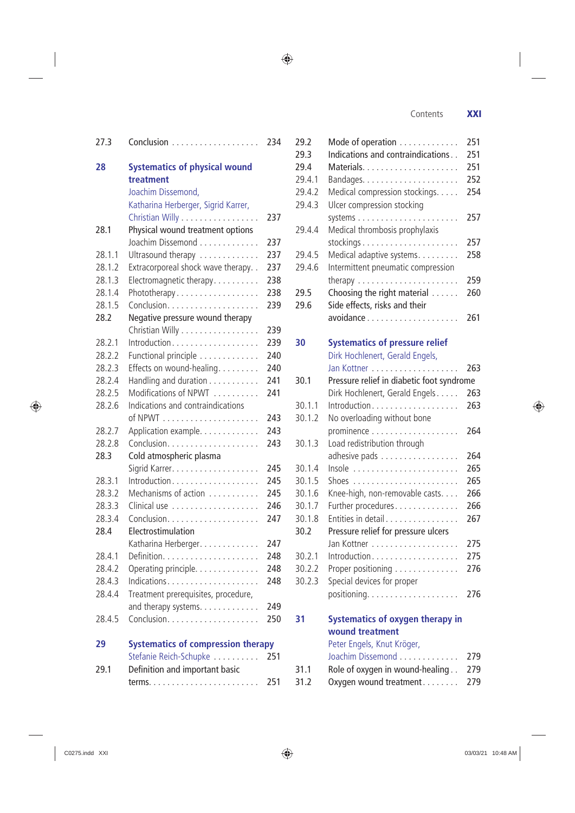Contents **XXI**

| 27.3             |                                                           | 234        |
|------------------|-----------------------------------------------------------|------------|
| 28               | <b>Systematics of physical wound</b><br>treatment         |            |
|                  | Joachim Dissemond,<br>Katharina Herberger, Sigrid Karrer, |            |
|                  | Christian Willy                                           | 237        |
| 28.1             | Physical wound treatment options                          |            |
|                  | Joachim Dissemond                                         | 237        |
| 28.1.1           | Ultrasound therapy                                        | 237        |
| 28.1.2           | Extracorporeal shock wave therapy. .                      | 237        |
| 28.1.3           | Electromagnetic therapy.                                  | 238        |
| 28.1.4           | Phototherapy                                              | 238        |
| 28.1.5           |                                                           | 239        |
| 28.2             | Negative pressure wound therapy                           |            |
|                  | Christian Willy                                           | 239        |
| 28.2.1           | Introduction                                              | 239        |
| 28.2.2           | Functional principle                                      | 240        |
| 28.2.3           | Effects on wound-healing.                                 | 240        |
| 28.2.4           | Handling and duration                                     | 241        |
| 28.2.5           | Modifications of NPWT                                     | 241        |
| 28.2.6           | Indications and contraindications                         |            |
|                  |                                                           | 243        |
| 28.2.7<br>28.2.8 | Application example.                                      | 243<br>243 |
| 28.3             |                                                           |            |
|                  | Cold atmospheric plasma                                   | 245        |
| 28.3.1           | Introduction                                              | 245        |
| 28.3.2           | Mechanisms of action                                      | 245        |
| 28.3.3           |                                                           | 246        |
| 28.3.4           |                                                           | 247        |
| 28.4             | Electrostimulation                                        |            |
|                  | Katharina Herberger.                                      | 247        |
| 28.4.1           |                                                           | 248        |
| 28.4.2           | Operating principle.                                      | 248        |
| 28.4.3           |                                                           | 248        |
| 28.4.4           | Treatment prerequisites, procedure,                       |            |
|                  | and therapy systems.                                      | 249        |
| 28.4.5           |                                                           | 250        |
| 29               | <b>Systematics of compression therapy</b>                 |            |
|                  | Stefanie Reich-Schupke                                    | 251        |
| 29.1             | Definition and important basic                            |            |
|                  |                                                           | 251        |

| 29.2   | Mode of operation                                   | 251 |
|--------|-----------------------------------------------------|-----|
| 29.3   | Indications and contraindications                   | 251 |
| 29.4   |                                                     | 251 |
| 29.4.1 |                                                     | 252 |
| 29.4.2 | Medical compression stockings.                      | 254 |
| 29.4.3 | Ulcer compression stocking                          |     |
|        |                                                     | 257 |
| 29.4.4 | Medical thrombosis prophylaxis                      |     |
|        |                                                     | 257 |
| 29.4.5 | Medical adaptive systems.                           | 258 |
| 29.4.6 | Intermittent pneumatic compression                  |     |
|        | therapy $\ldots \ldots \ldots \ldots \ldots \ldots$ | 259 |
| 29.5   | Choosing the right material                         | 260 |
| 29.6   | Side effects, risks and their                       |     |
|        | avoidance                                           | 261 |
|        |                                                     |     |
| 30     | <b>Systematics of pressure relief</b>               |     |
|        | Dirk Hochlenert, Gerald Engels,                     |     |
|        |                                                     | 263 |
| 30.1   | Pressure relief in diabetic foot syndrome           |     |
|        | Dirk Hochlenert, Gerald Engels                      | 263 |
| 30.1.1 | Introduction                                        | 263 |
| 30.1.2 | No overloading without bone                         |     |
|        |                                                     | 264 |
| 30.1.3 | Load redistribution through                         |     |
|        | adhesive pads                                       | 264 |
| 30.1.4 | Insole                                              | 265 |
| 30.1.5 |                                                     | 265 |
| 30.1.6 | Knee-high, non-removable casts                      | 266 |
| 30.1.7 | Further procedures                                  | 266 |
| 30.1.8 | Entities in detail                                  | 267 |
| 30.2   | Pressure relief for pressure ulcers                 |     |
|        |                                                     | 275 |
| 30.2.1 | Introduction                                        | 275 |
| 30.2.2 | Proper positioning                                  | 276 |
| 30.2.3 | Special devices for proper                          |     |
|        |                                                     | 276 |
| 31     | <b>Systematics of oxygen therapy in</b>             |     |
|        | wound treatment                                     |     |
|        | Peter Engels, Knut Kröger,                          |     |
|        | Joachim Dissemond                                   | 279 |
| 31.1   | Role of oxygen in wound-healing                     | 279 |
| 31.2   | Oxygen wound treatment                              | 279 |
|        |                                                     |     |

 $\bigoplus$ 

 $\bigoplus$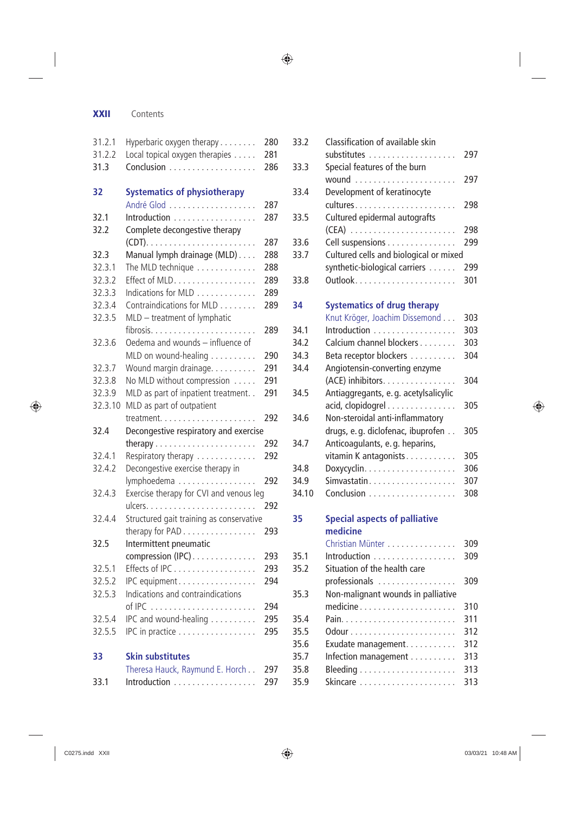#### **XXII** Contents

| 31.2.1  | Hyperbaric oxygen therapy                | 280 |
|---------|------------------------------------------|-----|
| 31.2.2  | Local topical oxygen therapies           | 281 |
| 31.3    |                                          | 286 |
|         |                                          |     |
| 32      | <b>Systematics of physiotherapy</b>      |     |
|         | André Glod                               | 287 |
| 32.1    | Introduction                             | 287 |
| 32.2    | Complete decongestive therapy            |     |
|         |                                          | 287 |
| 32.3    | Manual lymph drainage (MLD)              | 288 |
| 32.3.1  | The MLD technique                        | 288 |
| 32.3.2  | Effect of MLD.                           | 289 |
| 32.3.3  | Indications for MLD                      | 289 |
| 32.3.4  | Contraindications for MLD                | 289 |
| 32.3.5  | MLD - treatment of lymphatic             |     |
|         |                                          | 289 |
| 32.3.6  | Oedema and wounds - influence of         |     |
|         | MLD on wound-healing                     | 290 |
| 32.3.7  | Wound margin drainage.                   | 291 |
| 32.3.8  | No MLD without compression               | 291 |
| 32.3.9  | MLD as part of inpatient treatment. .    | 291 |
| 32.3.10 | MLD as part of outpatient                |     |
|         |                                          | 292 |
| 32.4    | Decongestive respiratory and exercise    |     |
|         | therapy                                  | 292 |
| 32.4.1  | Respiratory therapy                      | 292 |
| 32.4.2  | Decongestive exercise therapy in         |     |
|         |                                          | 292 |
| 32.4.3  | lymphoedema                              |     |
|         | Exercise therapy for CVI and venous leg  | 292 |
|         |                                          |     |
| 32.4.4  | Structured gait training as conservative |     |
|         | therapy for PAD                          | 293 |
| 32.5    | Intermittent pneumatic                   |     |
|         | compression (IPC)                        | 293 |
| 32.5.1  | Effects of IPC                           | 293 |
| 32.5.2  | IPC equipment                            | 294 |
| 32.5.3  | Indications and contraindications        |     |
|         |                                          | 294 |
| 32.5.4  | IPC and wound-healing                    | 295 |
| 32.5.5  | IPC in practice                          | 295 |
|         |                                          |     |
| 33      | <b>Skin substitutes</b>                  |     |
|         | Theresa Hauck, Raymund E. Horch          | 297 |
| 33.1    | Introduction                             | 297 |

| 33.2  | Classification of available skin       |     |
|-------|----------------------------------------|-----|
|       |                                        | 297 |
| 33.3  | Special features of the burn           |     |
|       |                                        | 297 |
| 33.4  | Development of keratinocyte            |     |
|       |                                        | 298 |
| 33.5  | Cultured epidermal autografts          |     |
|       |                                        | 298 |
| 33.6  | Cell suspensions                       | 299 |
| 33.7  | Cultured cells and biological or mixed |     |
|       | synthetic-biological carriers          | 299 |
| 33.8  |                                        | 301 |
| 34    | <b>Systematics of drug therapy</b>     |     |
|       | Knut Kröger, Joachim Dissemond         | 303 |
| 34.1  | Introduction                           | 303 |
| 34.2  | Calcium channel blockers               | 303 |
| 34.3  | Beta receptor blockers                 | 304 |
| 34.4  | Angiotensin-converting enzyme          |     |
|       | (ACE) inhibitors.                      | 304 |
| 34.5  | Antiaggregants, e.g. acetylsalicylic   |     |
|       | acid, clopidogrel                      | 305 |
| 34.6  | Non-steroidal anti-inflammatory        |     |
|       | drugs, e.g. diclofenac, ibuprofen      | 305 |
| 34.7  | Anticoagulants, e.g. heparins,         |     |
|       | vitamin K antagonists                  | 305 |
| 34.8  |                                        | 306 |
| 34.9  |                                        | 307 |
| 34.10 |                                        | 308 |
| 35    | <b>Special aspects of palliative</b>   |     |
|       | medicine                               |     |
|       | Christian Münter                       | 309 |
| 35.1  | Introduction                           | 309 |
| 35.2  | Situation of the health care           |     |
|       | professionals                          | 309 |
| 35.3  | Non-malignant wounds in palliative     |     |
|       | medicine                               | 310 |
| 35.4  |                                        | 311 |
| 35.5  |                                        | 312 |
| 35.6  | Exudate management.                    | 312 |
| 35.7  | Infection management                   | 313 |
| 35.8  |                                        | 313 |
| 35.9  | Skincare                               | 313 |
|       |                                        |     |

 $\bigoplus$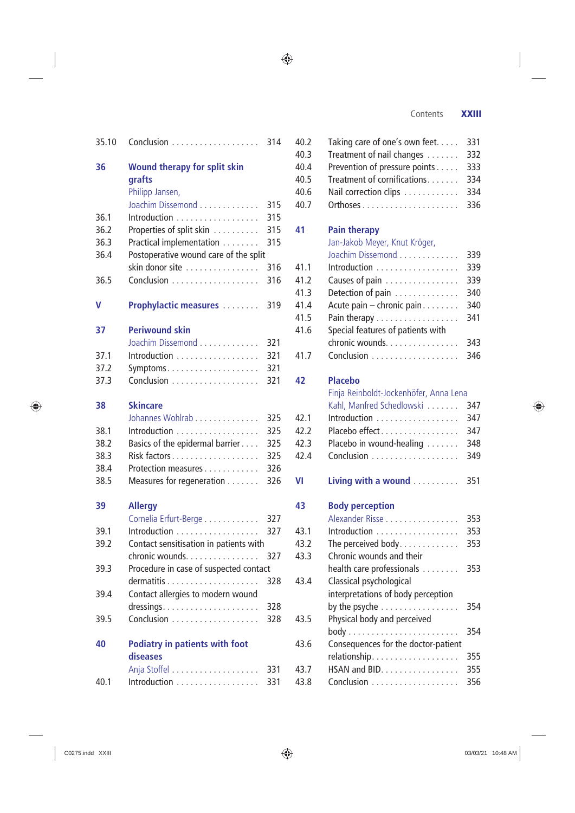#### Contents **XXIII**

| 35.10        |                                                          | 314 |
|--------------|----------------------------------------------------------|-----|
| 36           | <b>Wound therapy for split skin</b><br>grafts            |     |
|              | Philipp Jansen,<br>Joachim Dissemond                     | 315 |
|              |                                                          | 315 |
| 36.1<br>36.2 | Introduction<br>Properties of split skin                 | 315 |
| 36.3         | Practical implementation                                 | 315 |
| 36.4         |                                                          |     |
|              | Postoperative wound care of the split<br>skin donor site | 316 |
| 36.5         |                                                          | 316 |
|              |                                                          |     |
| v            | <b>Prophylactic measures </b>                            | 319 |
| 37           | <b>Periwound skin</b>                                    |     |
|              | Joachim Dissemond                                        | 321 |
| 37.1         | Introduction                                             | 321 |
| 37.2         |                                                          | 321 |
| 37.3         |                                                          | 321 |
| 38           | <b>Skincare</b>                                          |     |
|              | Johannes Wohlrab                                         | 325 |
| 38.1         | Introduction                                             | 325 |
| 38.2         | Basics of the epidermal barrier                          | 325 |
| 38.3         |                                                          | 325 |
| 38.4         | Protection measures                                      | 326 |
| 38.5         | Measures for regeneration                                | 326 |
| 39           | <b>Allergy</b>                                           |     |
|              | Cornelia Erfurt-Berge                                    | 327 |
| 39.1         | Introduction                                             | 327 |
| 39.2         | Contact sensitisation in patients with                   |     |
|              | chronic wounds.                                          | 327 |
| 39.3         | Procedure in case of suspected contact                   |     |
|              |                                                          | 328 |
| 39.4         | Contact allergies to modern wound                        |     |
|              |                                                          | 328 |
| 39.5         |                                                          | 328 |
| 40           | <b>Podiatry in patients with foot</b>                    |     |
|              | diseases                                                 |     |
|              |                                                          | 331 |
| 40.1         |                                                          | 331 |
|              |                                                          |     |

| 40.2 | Taking care of one's own feet.                     | 331 |  |  |  |  |
|------|----------------------------------------------------|-----|--|--|--|--|
| 40.3 | Treatment of nail changes<br>332                   |     |  |  |  |  |
| 40.4 | Prevention of pressure points<br>333               |     |  |  |  |  |
| 40.5 | Treatment of cornifications<br>334                 |     |  |  |  |  |
| 40.6 | Nail correction clips<br>334                       |     |  |  |  |  |
| 40.7 |                                                    | 336 |  |  |  |  |
| 41   | <b>Pain therapy</b>                                |     |  |  |  |  |
|      | Jan-Jakob Meyer, Knut Kröger,                      |     |  |  |  |  |
|      | Joachim Dissemond                                  | 339 |  |  |  |  |
| 41.1 | Introduction                                       | 339 |  |  |  |  |
| 41.2 | Causes of pain                                     | 339 |  |  |  |  |
| 41.3 | Detection of pain                                  | 340 |  |  |  |  |
| 41.4 | Acute pain - chronic pain                          | 340 |  |  |  |  |
| 41.5 | Pain therapy                                       | 341 |  |  |  |  |
| 41.6 | Special features of patients with                  |     |  |  |  |  |
|      | chronic wounds.                                    | 343 |  |  |  |  |
| 41.7 | Conclusion                                         | 346 |  |  |  |  |
| 42   | <b>Placebo</b>                                     |     |  |  |  |  |
|      | Finja Reinboldt-Jockenhöfer, Anna Lena             |     |  |  |  |  |
|      | Kahl, Manfred Schedlowski                          | 347 |  |  |  |  |
| 42.1 | Introduction                                       | 347 |  |  |  |  |
| 42.2 | Placebo effect                                     | 347 |  |  |  |  |
| 42.3 | Placebo in wound-healing<br>348                    |     |  |  |  |  |
| 42.4 |                                                    | 349 |  |  |  |  |
| VI   | Living with a wound                                | 351 |  |  |  |  |
| 43   | <b>Body perception</b>                             |     |  |  |  |  |
|      | Alexander Risse                                    | 353 |  |  |  |  |
| 43.1 | Introduction                                       | 353 |  |  |  |  |
| 43.2 | The perceived body.                                | 353 |  |  |  |  |
| 43.3 | Chronic wounds and their                           |     |  |  |  |  |
|      | health care professionals                          | 353 |  |  |  |  |
| 43.4 | Classical psychological                            |     |  |  |  |  |
|      | interpretations of body perception                 |     |  |  |  |  |
|      | by the psyche $\ldots \ldots \ldots \ldots \ldots$ | 354 |  |  |  |  |
| 43.5 | Physical body and perceived                        |     |  |  |  |  |
|      |                                                    | 354 |  |  |  |  |
| 43.6 | Consequences for the doctor-patient                |     |  |  |  |  |
|      | relationship.                                      | 355 |  |  |  |  |
| 43.7 | HSAN and BID.                                      | 355 |  |  |  |  |
| 43.8 |                                                    | 356 |  |  |  |  |

 $\bigoplus$ 

 $\bigoplus$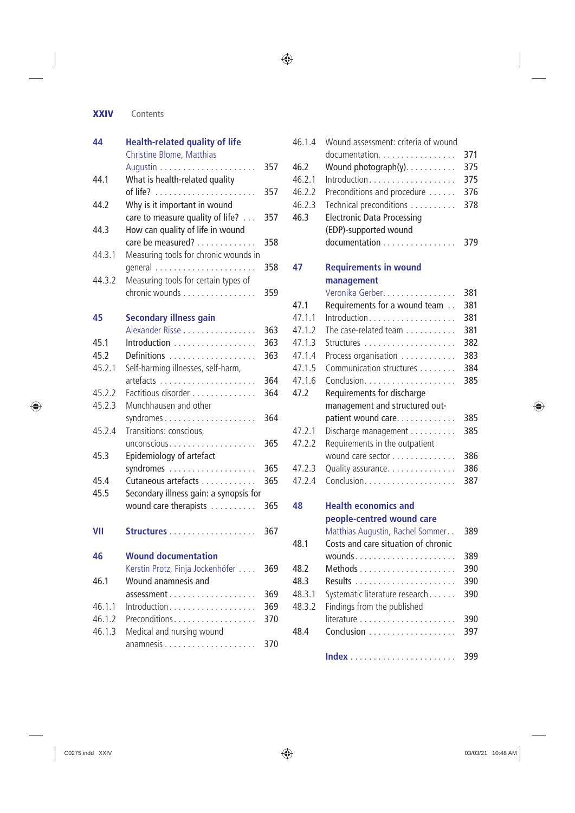**XXIV** Contents

| 44     | <b>Health-related quality of life</b><br>Christine Blome, Matthias |     |  |  |
|--------|--------------------------------------------------------------------|-----|--|--|
|        |                                                                    | 357 |  |  |
| 44.1   | What is health-related quality                                     | 357 |  |  |
| 44.2   | Why is it important in wound                                       |     |  |  |
|        | care to measure quality of life?                                   | 357 |  |  |
| 44.3   | How can quality of life in wound<br>care be measured?              | 358 |  |  |
| 44.3.1 | Measuring tools for chronic wounds in                              |     |  |  |
|        |                                                                    | 358 |  |  |
| 44.3.2 | Measuring tools for certain types of                               |     |  |  |
|        | chronic wounds                                                     | 359 |  |  |
| 45     | <b>Secondary illness gain</b>                                      |     |  |  |
|        | Alexander Risse                                                    | 363 |  |  |
| 45.1   | Introduction                                                       | 363 |  |  |
| 45.2   | Definitions                                                        | 363 |  |  |
| 45.2.1 | Self-harming illnesses, self-harm,                                 |     |  |  |
|        |                                                                    | 364 |  |  |
| 45.2.2 | Factitious disorder                                                | 364 |  |  |
| 45.2.3 | Munchhausen and other                                              |     |  |  |
|        |                                                                    | 364 |  |  |
| 45.2.4 | Transitions: conscious,                                            |     |  |  |
|        | unconscious                                                        | 365 |  |  |
| 45.3   | Epidemiology of artefact                                           |     |  |  |
|        |                                                                    | 365 |  |  |
| 45.4   | Cutaneous artefacts                                                | 365 |  |  |
| 45.5   | Secondary illness gain: a synopsis for                             |     |  |  |
|        | wound care therapists                                              | 365 |  |  |
| VII    |                                                                    | 367 |  |  |
| 46     | <b>Wound documentation</b>                                         |     |  |  |
|        | Kerstin Protz, Finja Jockenhöfer                                   | 369 |  |  |
| 46.1   | Wound anamnesis and                                                |     |  |  |
|        | assessment                                                         | 369 |  |  |
| 46.1.1 | Introduction                                                       | 369 |  |  |
| 46.1.2 | Preconditions                                                      | 370 |  |  |
| 46.1.3 | Medical and nursing wound                                          |     |  |  |
|        |                                                                    | 370 |  |  |

| 46.1.4 | Wound assessment: criteria of wound |     |
|--------|-------------------------------------|-----|
|        | documentation.                      | 371 |
| 46.2   | Wound photograph(y).                | 375 |
| 46.2.1 | Introduction                        | 375 |
| 46.2.2 | Preconditions and procedure         | 376 |
| 46.2.3 | Technical preconditions             | 378 |
| 46.3   | <b>Electronic Data Processing</b>   |     |
|        | (EDP)-supported wound               |     |
|        | documentation                       | 379 |
| 47     | <b>Requirements in wound</b>        |     |
|        | management                          |     |
|        | Veronika Gerber.                    | 381 |
| 47.1   | Requirements for a wound team       | 381 |
| 47.1.1 | Introduction                        | 381 |
| 47.1.2 | The case-related team               | 381 |
| 47.1.3 |                                     | 382 |
| 47.1.4 | Process organisation                | 383 |
| 47.1.5 | Communication structures            | 384 |
| 47.1.6 |                                     | 385 |
| 47.2   | Requirements for discharge          |     |
|        | management and structured out-      |     |
|        | patient wound care.                 | 385 |
| 47.2.1 | Discharge management                | 385 |
| 47.2.2 | Requirements in the outpatient      |     |
|        | wound care sector                   | 386 |
| 47.2.3 | Quality assurance.                  | 386 |
| 47.2.4 |                                     | 387 |
|        |                                     |     |
| 48     | <b>Health economics and</b>         |     |
|        | people-centred wound care           |     |
|        | Matthias Augustin, Rachel Sommer    | 389 |
| 48.1   | Costs and care situation of chronic |     |
|        |                                     | 389 |
| 48.2   |                                     | 390 |
| 48.3   |                                     | 390 |
| 48.3.1 | Systematic literature research      | 390 |
| 48.3.2 | Findings from the published         |     |
|        |                                     | 390 |
| 48.4   |                                     | 397 |
|        |                                     | 399 |

 $\bigoplus$ 

 $\bigoplus$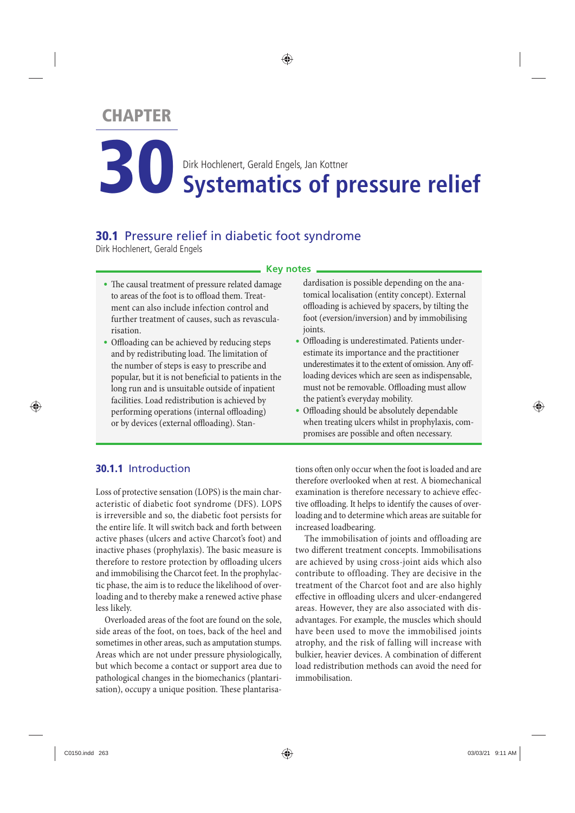## **CHAPTER**

**Systematics of pressure relief** Dirk Hochlenert, Gerald Engels, Jan Kottner

◈

### **30.1** Pressure relief in diabetic foot syndrome

Dirk Hochlenert, Gerald Engels

#### **Key notes**

- The causal treatment of pressure related damage to areas of the foot is to offload them. Treatment can also include infection control and further treatment of causes, such as revascularisation.
- Offloading can be achieved by reducing steps and by redistributing load. The limitation of the number of steps is easy to prescribe and popular, but it is not beneficial to patients in the long run and is unsuitable outside of inpatient facilities. Load redistribution is achieved by performing operations (internal offloading) or by devices (external offloading). Stan-

#### **30.1.1** Introduction

 Loss of protective sensation (LOPS) is the main characteristic of diabetic foot syndrome (DFS). LOPS is irreversible and so, the diabetic foot persists for the entire life. It will switch back and forth between active phases (ulcers and active Charcot's foot) and inactive phases (prophylaxis). The basic measure is therefore to restore protection by offloading ulcers and immobilising the Charcot feet. In the prophylactic phase, the aim is to reduce the likelihood of overloading and to thereby make a renewed active phase less likely.

 Overloaded areas of the foot are found on the sole, side areas of the foot, on toes, back of the heel and sometimes in other areas, such as amputation stumps. Areas which are not under pressure physiologically, but which become a contact or support area due to pathological changes in the biomechanics (plantarisation), occupy a unique position. These plantarisadardisation is possible depending on the anatomical localisation (entity concept). External offl oading is achieved by spacers, by tilting the foot (eversion/inversion) and by immobilising joints.

- Offloading is underestimated. Patients underestimate its importance and the practitioner underestimates it to the extent of omission. Any offloading devices which are seen as indispensable, must not be removable. Offloading must allow the patient's everyday mobility.
- Offloading should be absolutely dependable when treating ulcers whilst in prophylaxis, compromises are possible and often necessary.

tions often only occur when the foot is loaded and are therefore overlooked when at rest. A biomechanical examination is therefore necessary to achieve effective offloading. It helps to identify the causes of overloading and to determine which areas are suitable for increased loadbearing.

 The immobilisation of joints and offloading are two different treatment concepts. Immobilisations are achieved by using cross-joint aids which also contribute to offloading. They are decisive in the treatment of the Charcot foot and are also highly effective in offloading ulcers and ulcer-endangered areas. However, they are also associated with disadvantages. For example, the muscles which should have been used to move the immobilised joints atrophy, and the risk of falling will increase with bulkier, heavier devices. A combination of different load redistribution methods can avoid the need for immobilisation.

⊕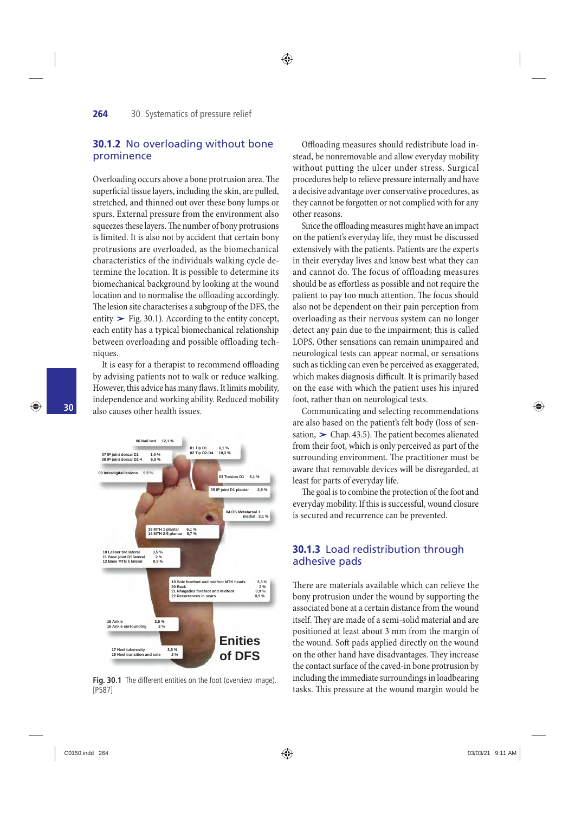◈

#### **264** 30 Systematics of pressure relief

#### **30.1.2** No overloading without bone prominence

Overloading occurs above a bone protrusion area. The superficial tissue layers, including the skin, are pulled, stretched, and thinned out over these bony lumps or spurs. External pressure from the environment also squeezes these layers. The number of bony protrusions is limited. It is also not by accident that certain bony protrusions are overloaded, as the biomechanical characteristics of the individuals walking cycle determine the location. It is possible to determine its biomechanical background by looking at the wound location and to normalise the offloading accordingly. The lesion site characterises a subgroup of the DFS, the biomechanical background by looking at the wound<br>location and to normalise the offloading accordingly.<br>The lesion site characterises a subgroup of the DFS, the<br>entity  $\triangleright$  Fig. 30.1). According to the entity concept, each entity has a typical biomechanical relationship between overloading and possible offloading techniques.

It is easy for a therapist to recommend offloading by advising patients not to walk or reduce walking. However, this advice has many flaws. It limits mobility, independence and working ability. Reduced mobility also causes other health issues.



Fig. 30.1 The different entities on the foot (overview image). [P587]

Offloading measures should redistribute load instead, be nonremovable and allow everyday mobility without putting the ulcer under stress. Surgical procedures help to relieve pressure internally and have a decisive advantage over conservative procedures, as they cannot be forgotten or not complied with for any other reasons.

Since the offloading measures might have an impact on the patient's everyday life, they must be discussed extensively with the patients. Patients are the experts in their everyday lives and know best what they can and cannot do. The focus of offloading measures should be as effortless as possible and not require the patient to pay too much attention. The focus should also not be dependent on their pain perception from overloading as their nervous system can no longer detect any pain due to the impairment; this is called LOPS. Other sensations can remain unimpaired and neurological tests can appear normal, or sensations such as tickling can even be perceived as exaggerated, which makes diagnosis difficult. It is primarily based on the ease with which the patient uses his injured foot, rather than on neurological tests.

 Communicating and selecting recommendations are also based on the patient's felt body (loss of senfroot, rather than on neurological tests.<br>Communicating and selecting recommendations<br>are also based on the patient's felt body (loss of sen-<br>sation,  $\triangleright$  Chap. 43.5). The patient becomes alienated from their foot, which is only perceived as part of the surrounding environment. The practitioner must be aware that removable devices will be disregarded, at least for parts of everyday life.

The goal is to combine the protection of the foot and everyday mobility. If this is successful, wound closure is secured and recurrence can be prevented.

#### **30.1.3** Load redistribution through adhesive pads

There are materials available which can relieve the bony protrusion under the wound by supporting the associated bone at a certain distance from the wound itself. They are made of a semi-solid material and are positioned at least about 3 mm from the margin of the wound. Soft pads applied directly on the wound on the other hand have disadvantages. They increase the contact surface of the caved-in bone protrusion by including the immediate surroundings in loadbearing tasks. This pressure at the wound margin would be ⊕

⊕

**30**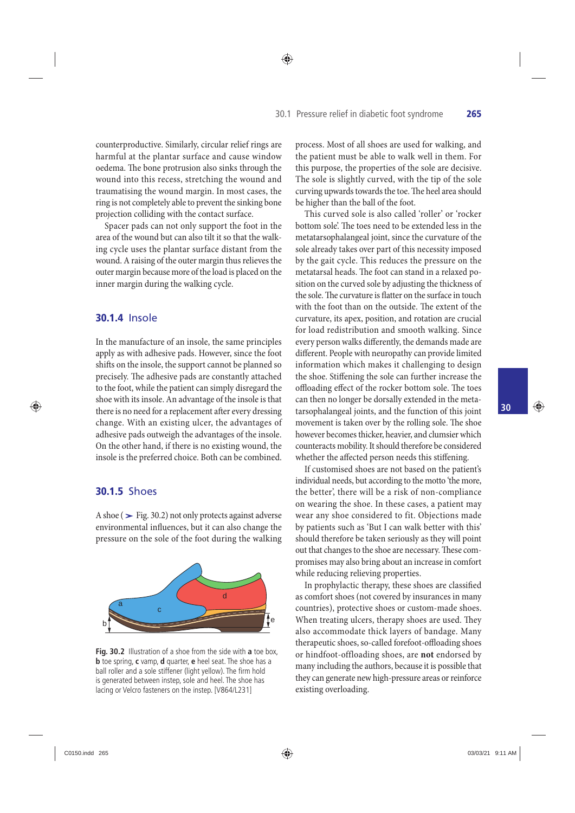◈

counterproductive. Similarly, circular relief rings are harmful at the plantar surface and cause window oedema. The bone protrusion also sinks through the wound into this recess, stretching the wound and traumatising the wound margin. In most cases, the ring is not completely able to prevent the sinking bone projection colliding with the contact surface.

 Spacer pads can not only support the foot in the area of the wound but can also tilt it so that the walking cycle uses the plantar surface distant from the wound. A raising of the outer margin thus relieves the outer margin because more of the load is placed on the inner margin during the walking cycle.

#### **30.1.4** Insole

 In the manufacture of an insole, the same principles apply as with adhesive pads. However, since the foot shifts on the insole, the support cannot be planned so precisely. The adhesive pads are constantly attached to the foot, while the patient can simply disregard the shoe with its insole. An advantage of the insole is that there is no need for a replacement after every dressing change. With an existing ulcer, the advantages of adhesive pads outweigh the advantages of the insole. On the other hand, if there is no existing wound, the insole is the preferred choice. Both can be combined.

#### **30.1.5** Shoes

⊕

 A shoe (**›** Fig. 30.2 ) not only protects against adverse environmental influences, but it can also change the pressure on the sole of the foot during the walking



**Fig. 30.2** Illustration of a shoe from the side with **a** toe box, **b** toe spring, **c** vamp, **d** quarter, **e** heel seat. The shoe has a ball roller and a sole stiffener (light yellow). The firm hold is generated between instep, sole and heel. The shoe has lacing or Velcro fasteners on the instep. [V864/L231]

process. Most of all shoes are used for walking, and the patient must be able to walk well in them. For this purpose, the properties of the sole are decisive. The sole is slightly curved, with the tip of the sole curving upwards towards the toe. The heel area should be higher than the ball of the foot.

 This curved sole is also called 'roller' or 'rocker bottom sole. The toes need to be extended less in the metatarsophalangeal joint, since the curvature of the sole already takes over part of this necessity imposed by the gait cycle. This reduces the pressure on the metatarsal heads. The foot can stand in a relaxed position on the curved sole by adjusting the thickness of the sole. The curvature is flatter on the surface in touch with the foot than on the outside. The extent of the curvature, its apex, position, and rotation are crucial for load redistribution and smooth walking. Since every person walks differently, the demands made are different. People with neuropathy can provide limited information which makes it challenging to design the shoe. Stiffening the sole can further increase the offloading effect of the rocker bottom sole. The toes can then no longer be dorsally extended in the metatarsophalangeal joints, and the function of this joint movement is taken over by the rolling sole. The shoe however becomes thicker, heavier, and clumsier which counteracts mobility. It should therefore be considered whether the affected person needs this stiffening.

 If customised shoes are not based on the patient's individual needs, but according to the motto 'the more, the better', there will be a risk of non-compliance on wearing the shoe. In these cases, a patient may wear any shoe considered to fit. Objections made by patients such as 'But I can walk better with this' should therefore be taken seriously as they will point out that changes to the shoe are necessary. These compromises may also bring about an increase in comfort while reducing relieving properties.

In prophylactic therapy, these shoes are classified as comfort shoes (not covered by insurances in many countries), protective shoes or custom-made shoes. When treating ulcers, therapy shoes are used. They also accommodate thick layers of bandage. Many therapeutic shoes, so-called forefoot-offloading shoes or hindfoot-offloading shoes , are **not** endorsed by many including the authors, because it is possible that they can generate new high-pressure areas or reinforce existing overloading.

**30**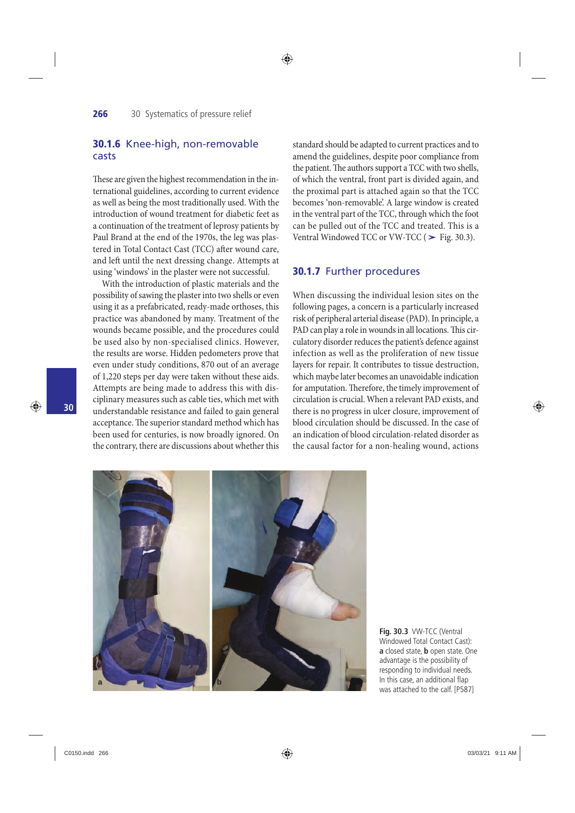#### **30.1.6** Knee-high, non-removable casts

These are given the highest recommendation in the international guidelines, according to current evidence as well as being the most traditionally used. With the introduction of wound treatment for diabetic feet as a continuation of the treatment of leprosy patients by Paul Brand at the end of the 1970s, the leg was plastered in Total Contact Cast (TCC) after wound care, and left until the next dressing change. Attempts at using 'windows' in the plaster were not successful.

 With the introduction of plastic materials and the possibility of sawing the plaster into two shells or even using it as a prefabricated, ready-made orthoses, this practice was abandoned by many. Treatment of the wounds became possible, and the procedures could be used also by non-specialised clinics. However, the results are worse. Hidden pedometers prove that even under study conditions, 870 out of an average of 1,220 steps per day were taken without these aids. Attempts are being made to address this with disciplinary measures such as cable ties, which met with understandable resistance and failed to gain general acceptance. The superior standard method which has been used for centuries, is now broadly ignored. On the contrary, there are discussions about whether this standard should be adapted to current practices and to amend the guidelines, despite poor compliance from the patient. The authors support a TCC with two shells, of which the ventral, front part is divided again, and the proximal part is attached again so that the TCC becomes 'non-removable'. A large window is created in the ventral part of the TCC, through which the foot can be pulled out of the TCC and treated. This is a becomes non-removable. A large window is created<br>in the ventral part of the TCC, through which the foo<br>can be pulled out of the TCC and treated. This is a<br>Ventral Windowed TCC or VW-TCC (> Fig. 30.3).

#### **30.1.7** Further procedures

 When discussing the individual lesion sites on the following pages, a concern is a particularly increased risk of peripheral arterial disease (PAD). In principle, a PAD can play a role in wounds in all locations. This circulatory disorder reduces the patient's defence against infection as well as the proliferation of new tissue layers for repair. It contributes to tissue destruction, which maybe later becomes an unavoidable indication for amputation. Therefore, the timely improvement of circulation is crucial. When a relevant PAD exists, and there is no progress in ulcer closure, improvement of blood circulation should be discussed. In the case of an indication of blood circulation-related disorder as the causal factor for a non-healing wound, actions



**Fig. 30.3** VW-TCC (Ventral Windowed Total Contact Cast): **a** closed state, **b** open state. One advantage is the possibility of responding to individual needs. In this case, an additional flap was attached to the calf. [P587]

♠

**30**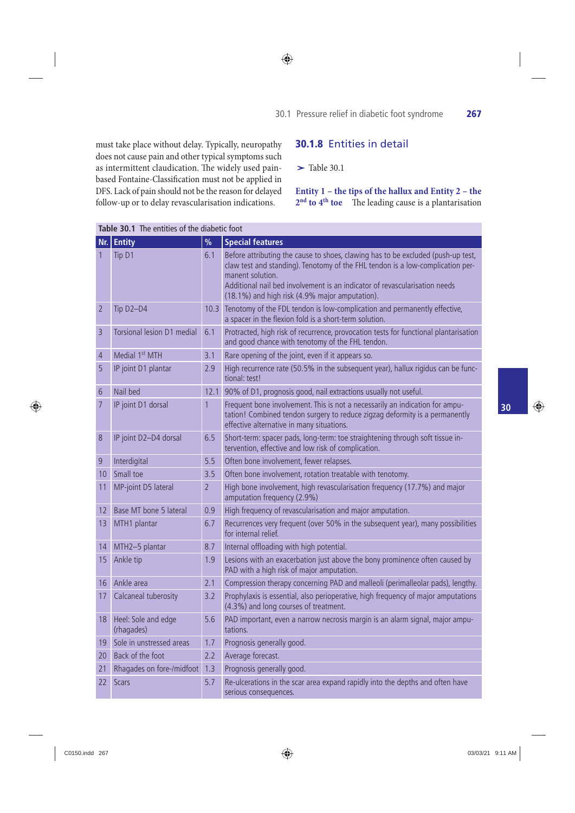must take place without delay. Typically, neuropathy does not cause pain and other typical symptoms such as intermittent claudication. The widely used painbased Fontaine-Classification must not be applied in DFS. Lack of pain should not be the reason for delayed follow-up or to delay revascularisation indications.

# **30.1.8** Entities in detail<br>
> Table 30.1

#### **Entity 1 – the tips of the hallux and Entity 2 – the**  2<sup>nd</sup> to 4<sup>th</sup> toe The leading cause is a plantarisation

|                | Table 30.1 The entities of the diabetic foot |                |                                                                                                                                                                                                                                                                                                                        |  |
|----------------|----------------------------------------------|----------------|------------------------------------------------------------------------------------------------------------------------------------------------------------------------------------------------------------------------------------------------------------------------------------------------------------------------|--|
| Nr. I          | <b>Entity</b>                                | $\frac{0}{0}$  | <b>Special features</b>                                                                                                                                                                                                                                                                                                |  |
| 1              | Tip D1                                       | 6.1            | Before attributing the cause to shoes, clawing has to be excluded (push-up test,<br>claw test and standing). Tenotomy of the FHL tendon is a low-complication per-<br>manent solution.<br>Additional nail bed involvement is an indicator of revascularisation needs<br>(18.1%) and high risk (4.9% major amputation). |  |
| 2              | Tip D2-D4                                    | 10.3           | Tenotomy of the FDL tendon is low-complication and permanently effective,<br>a spacer in the flexion fold is a short-term solution.                                                                                                                                                                                    |  |
| 3              | Torsional lesion D1 medial                   | 6.1            | Protracted, high risk of recurrence, provocation tests for functional plantarisation<br>and good chance with tenotomy of the FHL tendon.                                                                                                                                                                               |  |
| 4              | Medial 1 <sup>st</sup> MTH                   | 3.1            | Rare opening of the joint, even if it appears so.                                                                                                                                                                                                                                                                      |  |
| 5              | IP joint D1 plantar                          | 2.9            | High recurrence rate (50.5% in the subsequent year), hallux rigidus can be func-<br>tional: test!                                                                                                                                                                                                                      |  |
| 6              | Nail bed                                     | 12.1           | 90% of D1, prognosis good, nail extractions usually not useful.                                                                                                                                                                                                                                                        |  |
| $\overline{7}$ | IP joint D1 dorsal                           | $\overline{1}$ | Frequent bone involvement. This is not a necessarily an indication for ampu-<br>tation! Combined tendon surgery to reduce zigzag deformity is a permanently<br>effective alternative in many situations.                                                                                                               |  |
| 8              | IP joint D2-D4 dorsal                        | 6.5            | Short-term: spacer pads, long-term: toe straightening through soft tissue in-<br>tervention, effective and low risk of complication.                                                                                                                                                                                   |  |
| 9              | Interdigital                                 | 5.5            | Often bone involvement, fewer relapses.                                                                                                                                                                                                                                                                                |  |
| 10             | Small toe                                    | 3.5            | Often bone involvement, rotation treatable with tenotomy.                                                                                                                                                                                                                                                              |  |
| 11             | MP-joint D5 lateral                          | $\overline{2}$ | High bone involvement, high revascularisation frequency (17.7%) and major<br>amputation frequency (2.9%)                                                                                                                                                                                                               |  |
| 12             | Base MT bone 5 lateral                       | 0.9            | High frequency of revascularisation and major amputation.                                                                                                                                                                                                                                                              |  |
| 13             | MTH1 plantar                                 | 6.7            | Recurrences very frequent (over 50% in the subsequent year), many possibilities<br>for internal relief.                                                                                                                                                                                                                |  |
| 14             | MTH2-5 plantar                               | 8.7            | Internal offloading with high potential.                                                                                                                                                                                                                                                                               |  |
| 15             | Ankle tip                                    | 1.9            | Lesions with an exacerbation just above the bony prominence often caused by<br>PAD with a high risk of major amputation.                                                                                                                                                                                               |  |
| 16             | Ankle area                                   | 2.1            | Compression therapy concerning PAD and malleoli (perimalleolar pads), lengthy.                                                                                                                                                                                                                                         |  |
| 17             | Calcaneal tuberosity                         | 3.2            | Prophylaxis is essential, also perioperative, high frequency of major amputations<br>(4.3%) and long courses of treatment.                                                                                                                                                                                             |  |
| 18             | Heel: Sole and edge<br>(rhagades)            | 5.6            | PAD important, even a narrow necrosis margin is an alarm signal, major ampu-<br>tations.                                                                                                                                                                                                                               |  |
| 19             | Sole in unstressed areas                     | 1.7            | Prognosis generally good.                                                                                                                                                                                                                                                                                              |  |
| 20             | Back of the foot                             | 2.2            | Average forecast.                                                                                                                                                                                                                                                                                                      |  |
| 21             | Rhagades on fore-/midfoot 1.3                |                | Prognosis generally good.                                                                                                                                                                                                                                                                                              |  |
| 22             | <b>Scars</b>                                 | 5.7            | Re-ulcerations in the scar area expand rapidly into the depths and often have<br>serious consequences.                                                                                                                                                                                                                 |  |

#### ◈

**30**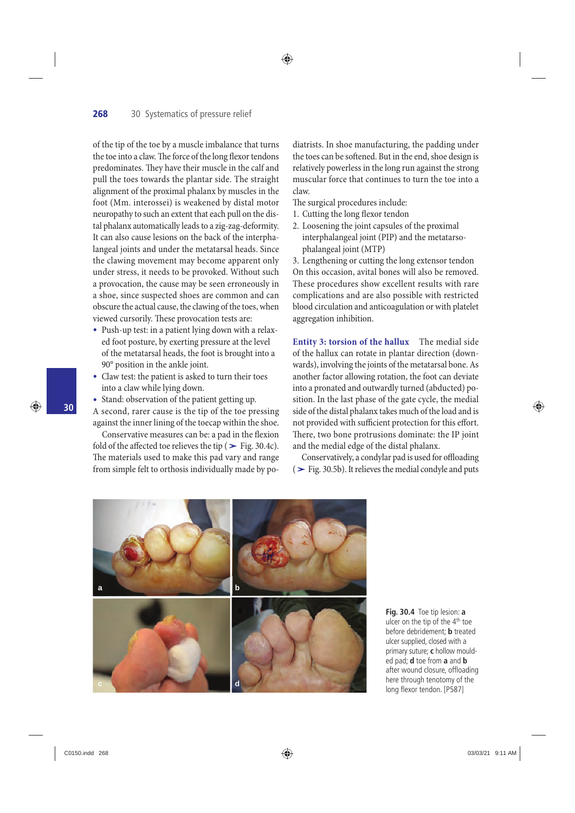of the tip of the toe by a muscle imbalance that turns the toe into a claw. The force of the long flexor tendons predominates. They have their muscle in the calf and pull the toes towards the plantar side. The straight alignment of the proximal phalanx by muscles in the foot (Mm. interossei) is weakened by distal motor neuropathy to such an extent that each pull on the distal phalanx automatically leads to a zig-zag-deformity. It can also cause lesions on the back of the interphalangeal joints and under the metatarsal heads. Since the clawing movement may become apparent only under stress, it needs to be provoked. Without such a provocation, the cause may be seen erroneously in a shoe, since suspected shoes are common and can obscure the actual cause, the clawing of the toes, when viewed cursorily. These provocation tests are:

- Push-up test: in a patient lying down with a relaxed foot posture, by exerting pressure at the level of the metatarsal heads, the foot is brought into a 90° position in the ankle joint.
- Claw test: the patient is asked to turn their toes into a claw while lying down.
- Stand: observation of the patient getting up.

 A second, rarer cause is the tip of the toe pressing against the inner lining of the toecap within the shoe.

Conservative measures can be: a pad in the flexion A second, rarer cause is the tip of the toe pressing<br>against the inner lining of the toecap within the shoe.<br>Conservative measures can be: a pad in the flexion<br>fold of the affected toe relieves the tip ( $>$  Fig. 30.4c). The materials used to make this pad vary and range from simple felt to orthosis individually made by podiatrists. In shoe manufacturing, the padding under the toes can be softened. But in the end, shoe design is relatively powerless in the long run against the strong muscular force that continues to turn the toe into a claw.

The surgical procedures include:

◈

- 1. Cutting the long flexor tendon
- 2. Loosening the joint capsules of the proximal interphalangeal joint (PIP) and the metatarsophalangeal joint (MTP)

 3. Lengthening or cutting the long extensor tendon On this occasion, avital bones will also be removed. These procedures show excellent results with rare complications and are also possible with restricted blood circulation and anticoagulation or with platelet aggregation inhibition.

**Entity 3: torsion of the hallux** The medial side of the hallux can rotate in plantar direction (downwards), involving the joints of the metatarsal bone. As another factor allowing rotation, the foot can deviate into a pronated and outwardly turned (abducted) position. In the last phase of the gate cycle, the medial side of the distal phalanx takes much of the load and is not provided with sufficient protection for this effort. There, two bone protrusions dominate: the IP joint and the medial edge of the distal phalanx.

Conservatively, a condylar pad is used for offloading (**›** Fig. 30.5 b). It relieves the medial condyle and puts



**Fig. 30.4** Toe tip lesion: **a** ulcer on the tip of the 4<sup>th</sup> toe before debridement; **b** treated ulcer supplied, closed with a primary suture; **c** hollow moulded pad; **d** toe from **a** and **b** after wound closure, offloading here through tenotomy of the long flexor tendon. [P587]

**30**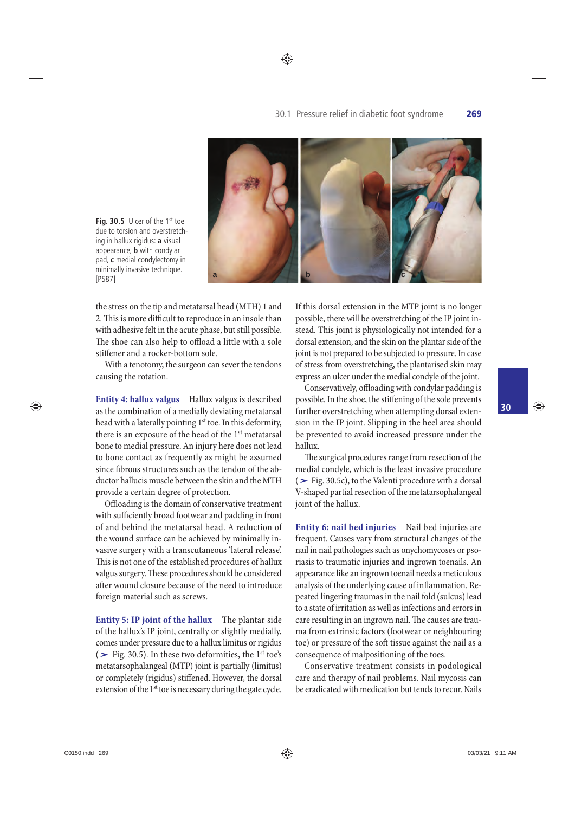

◈

Fig. 30.5 Ulcer of the 1st toe due to torsion and overstretching in hallux rigidus: **a** visual appearance, **b** with condylar pad, **c** medial condylectomy in minimally invasive technique. [P587]

⊕

the stress on the tip and metatarsal head (MTH) 1 and 2. This is more difficult to reproduce in an insole than with adhesive felt in the acute phase, but still possible. The shoe can also help to offload a little with a sole stiffener and a rocker-bottom sole.

 With a tenotomy, the surgeon can sever the tendons causing the rotation.

 **Entity 4: hallux valgus** Hallux valgus is described as the combination of a medially deviating metatarsal head with a laterally pointing 1<sup>st</sup> toe. In this deformity, there is an exposure of the head of the  $1<sup>st</sup>$  metatarsal bone to medial pressure. An injury here does not lead to bone contact as frequently as might be assumed since fibrous structures such as the tendon of the abductor hallucis muscle between the skin and the MTH provide a certain degree of protection.

Offloading is the domain of conservative treatment with sufficiently broad footwear and padding in front of and behind the metatarsal head. A reduction of the wound surface can be achieved by minimally invasive surgery with a transcutaneous 'lateral release'. This is not one of the established procedures of hallux valgus surgery. These procedures should be considered after wound closure because of the need to introduce foreign material such as screws.

**Entity 5: IP joint of the hallux** The plantar side of the hallux's IP joint, centrally or slightly medially, comes under pressure due to a hallux limitus or rigidus **Entity 5: IP joint of the hallux** I he plantar side<br>of the hallux's IP joint, centrally or slightly medially,<br>comes under pressure due to a hallux limitus or rigidus<br> $($  > Fig. 30.5). In these two deformities, the 1<sup>st</sup> metatarsophalangeal (MTP) joint is partially (limitus) or completely (rigidus) stiffened. However, the dorsal extension of the 1<sup>st</sup> toe is necessary during the gate cycle.

If this dorsal extension in the MTP joint is no longer possible, there will be overstretching of the IP joint instead. This joint is physiologically not intended for a dorsal extension, and the skin on the plantar side of the joint is not prepared to be subjected to pressure. In case of stress from overstretching, the plantarised skin may express an ulcer under the medial condyle of the joint.

Conservatively, offloading with condylar padding is possible. In the shoe, the stiffening of the sole prevents further overstretching when attempting dorsal extension in the IP joint. Slipping in the heel area should be prevented to avoid increased pressure under the hallux.

The surgical procedures range from resection of the medial condyle, which is the least invasive procedure ( $\blacktriangleright$  Fig. 30.5c), to the Valenti procedure with a dorsal V-shaped partial resection of the metatarsophalangeal joint of the hallux.

 **Entity 6: nail bed injuries** Nail bed injuries are frequent. Causes vary from structural changes of the nail in nail pathologies such as onychomycoses or psoriasis to traumatic injuries and ingrown toenails. An appearance like an ingrown toenail needs a meticulous analysis of the underlying cause of inflammation. Repeated lingering traumas in the nail fold (sulcus) lead to a state of irritation as well as infections and errors in care resulting in an ingrown nail. The causes are trauma from extrinsic factors (footwear or neighbouring toe) or pressure of the soft tissue against the nail as a consequence of malpositioning of the toes.

 Conservative treatment consists in podological care and therapy of nail problems. Nail mycosis can be eradicated with medication but tends to recur. Nails **30**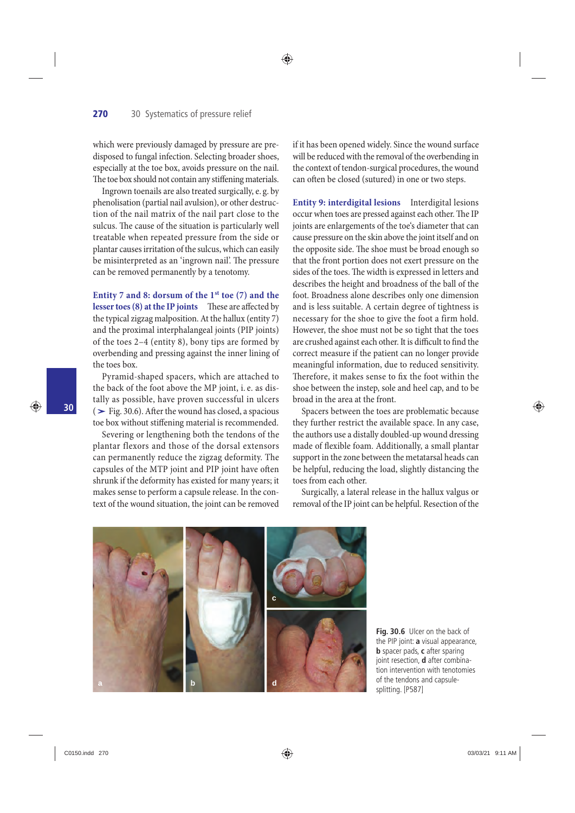which were previously damaged by pressure are predisposed to fungal infection. Selecting broader shoes, especially at the toe box, avoids pressure on the nail. The toe box should not contain any stiffening materials.

 Ingrown toenails are also treated surgically, e. g. by phenolisation (partial nail avulsion), or other destruction of the nail matrix of the nail part close to the sulcus. The cause of the situation is particularly well treatable when repeated pressure from the side or plantar causes irritation of the sulcus, which can easily be misinterpreted as an 'ingrown nail'. The pressure can be removed permanently by a tenotomy.

Entity 7 and 8: dorsum of the 1<sup>st</sup> toe (7) and the **lesser toes (8) at the IP joints** These are affected by the typical zigzag malposition . At the hallux (entity 7) and the proximal interphalangeal joints (PIP joints) of the toes 2–4 (entity 8), bony tips are formed by overbending and pressing against the inner lining of the toes box.

Pyramid-shaped spacers, which are attached to the back of the foot above the MP joint, i. e. as distally as possible, have proven successful in ulcers Pyramid-shaped spacers, which are attached to<br>the back of the foot above the MP joint, i.e. as dis-<br>tally as possible, have proven successful in ulcers<br>(> Fig. 30.6). After the wound has closed, a spacious toe box without stiffening material is recommended.

 Severing or lengthening both the tendons of the plantar flexors and those of the dorsal extensors can permanently reduce the zigzag deformity. The capsules of the MTP joint and PIP joint have often shrunk if the deformity has existed for many years; it makes sense to perform a capsule release. In the context of the wound situation, the joint can be removed if it has been opened widely. Since the wound surface will be reduced with the removal of the overbending in the context of tendon-surgical procedures, the wound can often be closed (sutured) in one or two steps.

◈

 **Entity 9: interdigital lesions** Interdigital lesions occur when toes are pressed against each other. The IP joints are enlargements of the toe's diameter that can cause pressure on the skin above the joint itself and on the opposite side. The shoe must be broad enough so that the front portion does not exert pressure on the sides of the toes. The width is expressed in letters and describes the height and broadness of the ball of the foot. Broadness alone describes only one dimension and is less suitable. A certain degree of tightness is necessary for the shoe to give the foot a firm hold. However, the shoe must not be so tight that the toes are crushed against each other. It is difficult to find the correct measure if the patient can no longer provide meaningful information, due to reduced sensitivity. Therefore, it makes sense to fix the foot within the shoe between the instep, sole and heel cap, and to be broad in the area at the front.

 Spacers between the toes are problematic because they further restrict the available space. In any case, the authors use a distally doubled-up wound dressing made of flexible foam. Additionally, a small plantar support in the zone between the metatarsal heads can be helpful, reducing the load, slightly distancing the toes from each other.

 Surgically, a lateral release in the hallux valgus or removal of the IP joint can be helpful. Resection of the



**Fig. 30.6** Ulcer on the back of the PIP joint: **a** visual appearance, **b** spacer pads, **c** after sparing joint resection, **d** after combination intervention with tenotomies of the tendons and capsulesplitting. [P587]

♠

**30**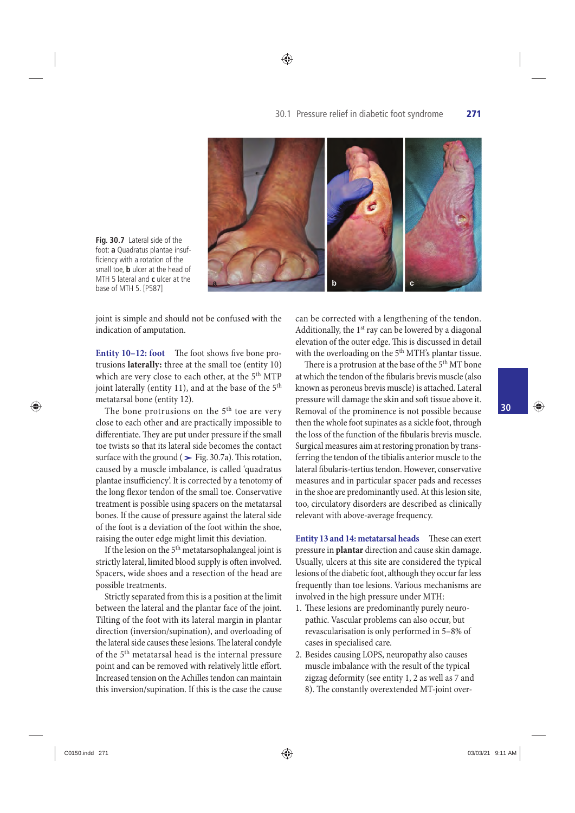

◈

**Fig. 30.7** Lateral side of the foot: **a** Quadratus plantae insufficiency with a rotation of the small toe, **b** ulcer at the head of MTH 5 lateral and **c** ulcer at the base of MTH 5. [P587]

joint is simple and should not be confused with the indication of amputation.

**Entity 10-12: foot** The foot shows five bone protrusions **laterally:** three at the small toe (entity 10) which are very close to each other, at the 5<sup>th</sup> MTP joint laterally (entity 11), and at the base of the  $5<sup>th</sup>$ metatarsal bone (entity 12).

The bone protrusions on the 5<sup>th</sup> toe are very close to each other and are practically impossible to differentiate. They are put under pressure if the small toe twists so that its lateral side becomes the contact close to each other and are practically impossible to<br>differentiate. They are put under pressure if the small<br>toe twists so that its lateral side becomes the contact<br>surface with the ground ( $>$  Fig. 30.7a). This rotation, caused by a muscle imbalance, is called 'quadratus plantae insufficiency'. It is corrected by a tenotomy of the long flexor tendon of the small toe. Conservative treatment is possible using spacers on the metatarsal bones. If the cause of pressure against the lateral side of the foot is a deviation of the foot within the shoe, raising the outer edge might limit this deviation.

If the lesion on the  $5<sup>th</sup>$  metatarsophalangeal joint is strictly lateral, limited blood supply is often involved. Spacers, wide shoes and a resection of the head are possible treatments.

 Strictly separated from this is a position at the limit between the lateral and the plantar face of the joint. Tilting of the foot with its lateral margin in plantar direction (inversion/supination), and overloading of the lateral side causes these lesions. The lateral condyle of the 5<sup>th</sup> metatarsal head is the internal pressure point and can be removed with relatively little effort. Increased tension on the Achilles tendon can maintain this inversion/supination. If this is the case the cause

can be corrected with a lengthening of the tendon. Additionally, the  $1<sup>st</sup>$  ray can be lowered by a diagonal elevation of the outer edge. This is discussed in detail with the overloading on the 5<sup>th</sup> MTH's plantar tissue.

There is a protrusion at the base of the 5<sup>th</sup> MT bone at which the tendon of the fibularis brevis muscle (also known as peroneus brevis muscle) is attached. Lateral pressure will damage the skin and soft tissue above it. Removal of the prominence is not possible because then the whole foot supinates as a sickle foot, through the loss of the function of the fibularis brevis muscle. Surgical measures aim at restoring pronation by transferring the tendon of the tibialis anterior muscle to the lateral fibularis-tertius tendon. However, conservative measures and in particular spacer pads and recesses in the shoe are predominantly used. At this lesion site, too, circulatory disorders are described as clinically relevant with above-average frequency.

 **Entity 13 and 14: metatarsal heads** These can exert pressure in **plantar** direction and cause skin damage. Usually, ulcers at this site are considered the typical lesions of the diabetic foot, although they occur far less frequently than toe lesions. Various mechanisms are involved in the high pressure under MTH:

- 1. These lesions are predominantly purely neuropathic. Vascular problems can also occur, but revascularisation is only performed in 5–8% of cases in specialised care.
- 2. Besides causing LOPS, neuropathy also causes muscle imbalance with the result of the typical zigzag deformity (see entity 1, 2 as well as 7 and 8). The constantly overextended MT-joint over-

**30**

⊕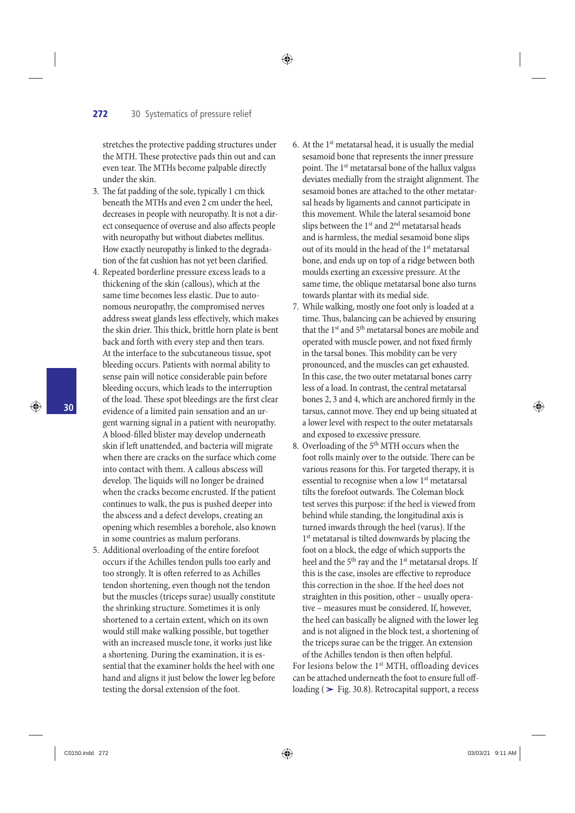stretches the protective padding structures under the MTH. These protective pads thin out and can even tear. The MTHs become palpable directly under the skin.

◈

- 3. The fat padding of the sole, typically 1 cm thick beneath the MTHs and even 2 cm under the heel, decreases in people with neuropathy. It is not a direct consequence of overuse and also affects people with neuropathy but without diabetes mellitus. How exactly neuropathy is linked to the degradation of the fat cushion has not yet been clarified.
- 4. Repeated borderline pressure excess leads to a thickening of the skin (callous), which at the same time becomes less elastic. Due to autonomous neuropathy, the compromised nerves address sweat glands less effectively, which makes the skin drier. This thick, brittle horn plate is bent back and forth with every step and then tears. At the interface to the subcutaneous tissue, spot bleeding occurs. Patients with normal ability to sense pain will notice considerable pain before bleeding occurs, which leads to the interruption of the load. These spot bleedings are the first clear evidence of a limited pain sensation and an urgent warning signal in a patient with neuropathy. A blood-filled blister may develop underneath skin if left unattended, and bacteria will migrate when there are cracks on the surface which come into contact with them. A callous abscess will develop. The liquids will no longer be drained when the cracks become encrusted. If the patient continues to walk, the pus is pushed deeper into the abscess and a defect develops, creating an opening which resembles a borehole, also known in some countries as malum perforans.
- 5. Additional overloading of the entire forefoot occurs if the Achilles tendon pulls too early and too strongly. It is often referred to as Achilles tendon shortening, even though not the tendon but the muscles (triceps surae) usually constitute the shrinking structure. Sometimes it is only shortened to a certain extent, which on its own would still make walking possible, but together with an increased muscle tone, it works just like a shortening. During the examination, it is essential that the examiner holds the heel with one hand and aligns it just below the lower leg before testing the dorsal extension of the foot.
- 6. At the  $1<sup>st</sup>$  metatarsal head, it is usually the medial sesamoid bone that represents the inner pressure point. The 1<sup>st</sup> metatarsal bone of the hallux valgus deviates medially from the straight alignment. The sesamoid bones are attached to the other metatarsal heads by ligaments and cannot participate in this movement. While the lateral sesamoid bone slips between the  $1<sup>st</sup>$  and  $2<sup>nd</sup>$  metatarsal heads and is harmless, the medial sesamoid bone slips out of its mould in the head of the 1<sup>st</sup> metatarsal bone, and ends up on top of a ridge between both moulds exerting an excessive pressure. At the same time, the oblique metatarsal bone also turns towards plantar with its medial side.
- 7. While walking, mostly one foot only is loaded at a time. Thus, balancing can be achieved by ensuring that the 1<sup>st</sup> and 5<sup>th</sup> metatarsal bones are mobile and operated with muscle power, and not fixed firmly in the tarsal bones. This mobility can be very pronounced, and the muscles can get exhausted. In this case, the two outer metatarsal bones carry less of a load. In contrast, the central metatarsal bones 2, 3 and 4, which are anchored firmly in the tarsus, cannot move. They end up being situated at a lower level with respect to the outer metatarsals and exposed to excessive pressure.
- 8. Overloading of the  $5<sup>th</sup>$  MTH occurs when the foot rolls mainly over to the outside. There can be various reasons for this. For targeted therapy, it is essential to recognise when a low 1<sup>st</sup> metatarsal tilts the forefoot outwards. The Coleman block test serves this purpose: if the heel is viewed from behind while standing, the longitudinal axis is turned inwards through the heel (varus). If the 1<sup>st</sup> metatarsal is tilted downwards by placing the foot on a block, the edge of which supports the heel and the 5<sup>th</sup> ray and the 1<sup>st</sup> metatarsal drops. If this is the case, insoles are effective to reproduce this correction in the shoe. If the heel does not straighten in this position, other – usually operative – measures must be considered. If, however, the heel can basically be aligned with the lower leg and is not aligned in the block test, a shortening of the triceps surae can be the trigger. An extension of the Achilles tendon is then often helpful.

For lesions below the 1<sup>st</sup> MTH, offloading devices can be attached underneath the foot to ensure full off loading ( $\blacktriangleright$  Fig. 30.8). Retrocapital support, a recess

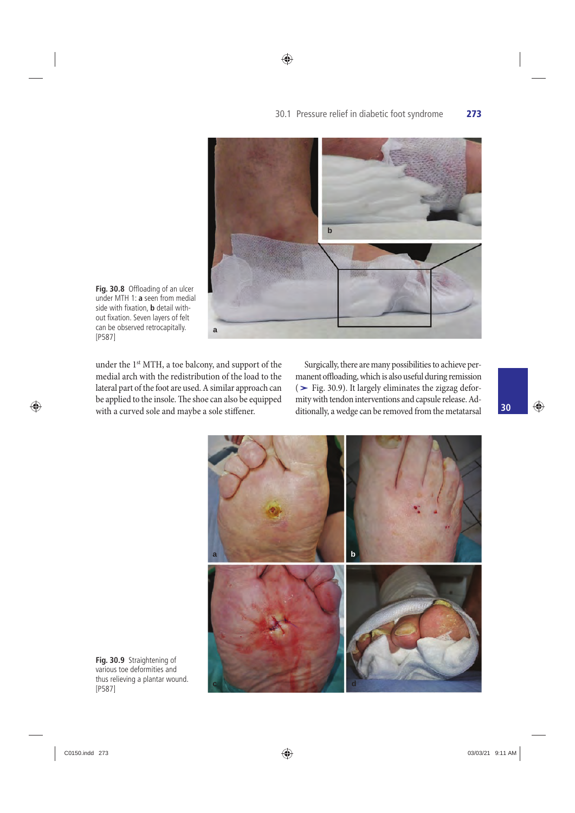

◈

Fig. 30.8 Offloading of an ulcer under MTH 1: **a** seen from medial side with fixation, **b** detail without fixation. Seven layers of felt can be observed retrocapitally. [P587]

under the 1<sup>st</sup> MTH, a toe balcony, and support of the medial arch with the redistribution of the load to the lateral part of the foot are used. A similar approach can be applied to the insole. The shoe can also be equipped with a curved sole and maybe a sole stiffener.

 Surgically, there are many possibilities to achieve permanent offloading, which is also useful during remission (**›** Fig. 30.9 ). It largely eliminates the zigzag deformity with tendon interventions and capsule release. Additionally, a wedge can be removed from the metatarsal



**Fig. 30.9** Straightening of various toe deformities and thus relieving a plantar wound. [P587]

 $\bigoplus$ 

**30**

⊕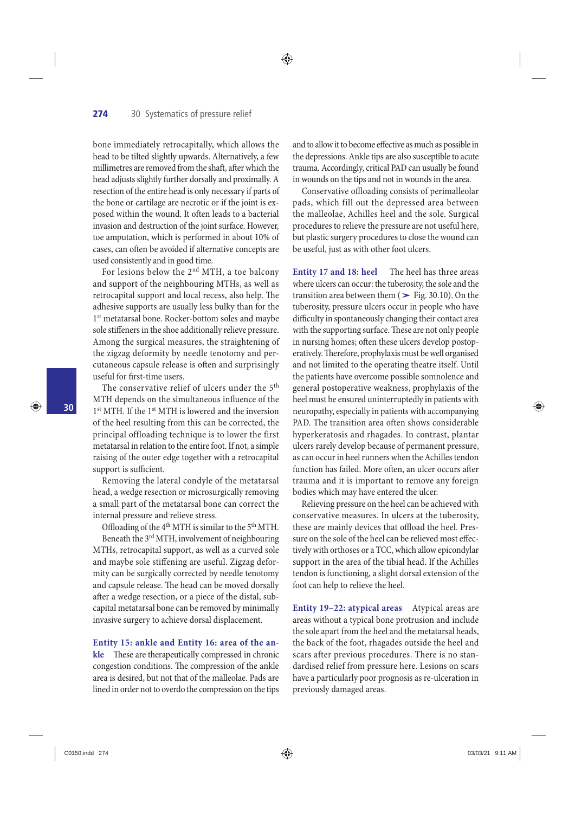bone immediately retrocapitally, which allows the head to be tilted slightly upwards. Alternatively, a few millimetres are removed from the shaft, after which the head adjusts slightly further dorsally and proximally. A resection of the entire head is only necessary if parts of the bone or cartilage are necrotic or if the joint is exposed within the wound. It often leads to a bacterial invasion and destruction of the joint surface. However, toe amputation, which is performed in about 10% of cases, can often be avoided if alternative concepts are used consistently and in good time.

For lesions below the  $2<sup>nd</sup>$  MTH, a toe balcony and support of the neighbouring MTHs, as well as retrocapital support and local recess, also help. The adhesive supports are usually less bulky than for the 1<sup>st</sup> metatarsal bone. Rocker-bottom soles and maybe sole stiffeners in the shoe additionally relieve pressure. Among the surgical measures, the straightening of the zigzag deformity by needle tenotomy and percutaneous capsule release is often and surprisingly useful for first-time users.

The conservative relief of ulcers under the  $5<sup>th</sup>$ MTH depends on the simultaneous influence of the 1<sup>st</sup> MTH. If the 1<sup>st</sup> MTH is lowered and the inversion of the heel resulting from this can be corrected, the principal offloading technique is to lower the first metatarsal in relation to the entire foot. If not, a simple raising of the outer edge together with a retrocapital support is sufficient.

 Removing the lateral condyle of the metatarsal head, a wedge resection or microsurgically removing a small part of the metatarsal bone can correct the internal pressure and relieve stress.

Offloading of the 4<sup>th</sup> MTH is similar to the 5<sup>th</sup> MTH. Beneath the  $3<sup>rd</sup>$  MTH, involvement of neighbouring MTHs, retrocapital support, as well as a curved sole and maybe sole stiffening are useful. Zigzag deformity can be surgically corrected by needle tenotomy and capsule release. The head can be moved dorsally after a wedge resection, or a piece of the distal, subcapital metatarsal bone can be removed by minimally invasive surgery to achieve dorsal displacement.

 **Entity 15: ankle and Entity 16: area of the ankle** These are therapeutically compressed in chronic congestion conditions. The compression of the ankle area is desired, but not that of the malleolae. Pads are lined in order not to overdo the compression on the tips

and to allow it to become effective as much as possible in the depressions. Ankle tips are also susceptible to acute trauma. Accordingly, critical PAD can usually be found in wounds on the tips and not in wounds in the area.

◈

Conservative offloading consists of perimalleolar pads, which fill out the depressed area between the malleolae, Achilles heel and the sole. Surgical procedures to relieve the pressure are not useful here, but plastic surgery procedures to close the wound can be useful, just as with other foot ulcers.

 **Entity 17 and 18: heel** The heel has three areas where ulcers can occur: the tuberosity, the sole and the transition area between them  $($   $>$  Fig. 30.10). On the tuberosity, pressure ulcers occur in people who have difficulty in spontaneously changing their contact area with the supporting surface. These are not only people in nursing homes; often these ulcers develop postoperatively. Therefore, prophylaxis must be well organised and not limited to the operating theatre itself. Until the patients have overcome possible somnolence and general postoperative weakness, prophylaxis of the heel must be ensured uninterruptedly in patients with neuropathy, especially in patients with accompanying PAD. The transition area often shows considerable hyperkeratosis and rhagades. In contrast, plantar ulcers rarely develop because of permanent pressure, as can occur in heel runners when the Achilles tendon function has failed. More often, an ulcer occurs after trauma and it is important to remove any foreign bodies which may have entered the ulcer.

 Relieving pressure on the heel can be achieved with conservative measures. In ulcers at the tuberosity, these are mainly devices that offload the heel. Pressure on the sole of the heel can be relieved most effectively with orthoses or a TCC, which allow epicondylar support in the area of the tibial head. If the Achilles tendon is functioning, a slight dorsal extension of the foot can help to relieve the heel.

 **Entity 19–22: atypical areas** Atypical areas are areas without a typical bone protrusion and include the sole apart from the heel and the metatarsal heads, the back of the foot, rhagades outside the heel and scars after previous procedures. There is no standardised relief from pressure here. Lesions on scars have a particularly poor prognosis as re-ulceration in previously damaged areas.

**30**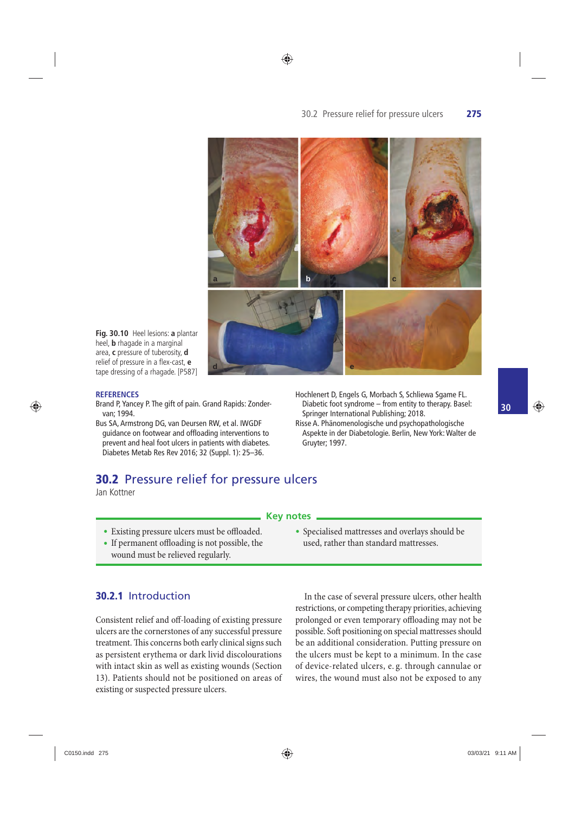#### ◈

#### 30.2 Pressure relief for pressure ulcers **275**



**Fig. 30.10** Heel lesions: a plantar heel, **b** rhagade in a marginal area, **c** pressure of tuberosity, **d** relief of pressure in a flex-cast, e tape dressing of a rhagade. [P587]

#### **REFERENCES**

⊕

- Brand P, Yancey P. The gift of pain. Grand Rapids: Zondervan; 1994.
- Bus SA, Armstrong DG, van Deursen RW, et al. IWGDF guidance on footwear and offloading interventions to prevent and heal foot ulcers in patients with diabetes. Diabetes Metab Res Rev 2016; 32 (Suppl. 1): 25–36.
- Hochlenert D, Engels G, Morbach S, Schliewa Sgame FL. Diabetic foot syndrome – from entity to therapy. Basel: Springer International Publishing; 2018.
- Risse A. Phänomenologische und psychopathologische Aspekte in der Diabetologie. Berlin, New York: Walter de Gruyter; 1997.

• Specialised mattresses and overlays should be used, rather than standard mattresses.

#### **30.2** Pressure relief for pressure ulcers

Jan Kottner

#### **Key notes**

- Existing pressure ulcers must be offloaded.
- If permanent offloading is not possible, the wound must be relieved regularly.

# **30.2.1** Introduction

 Consistent relief and off -loading of existing pressure ulcers are the cornerstones of any successful pressure treatment. This concerns both early clinical signs such as persistent erythema or dark livid discolourations with intact skin as well as existing wounds (Section 13). Patients should not be positioned on areas of existing or suspected pressure ulcers.

 In the case of several pressure ulcers, other health restrictions, or competing therapy priorities, achieving prolonged or even temporary offloading may not be possible. Soft positioning on special mattresses should be an additional consideration. Putting pressure on the ulcers must be kept to a minimum. In the case of device-related ulcers, e. g. through cannulae or wires, the wound must also not be exposed to any

◈

**30**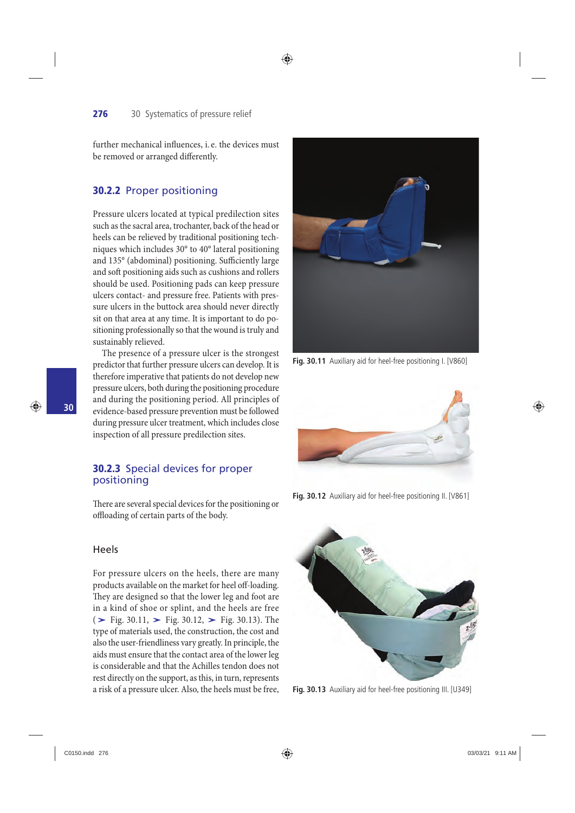further mechanical influences, i.e. the devices must be removed or arranged differently.

#### **30.2.2** Proper positioning

 Pressure ulcers located at typical predilection sites such as the sacral area, trochanter, back of the head or heels can be relieved by traditional positioning techniques which includes 30° to 40° lateral positioning and 135° (abdominal) positioning. Sufficiently large and soft positioning aids such as cushions and rollers should be used. Positioning pads can keep pressure ulcers contact- and pressure free. Patients with pressure ulcers in the buttock area should never directly sit on that area at any time. It is important to do positioning professionally so that the wound is truly and sustainably relieved.

 The presence of a pressure ulcer is the strongest predictor that further pressure ulcers can develop. It is therefore imperative that patients do not develop new pressure ulcers, both during the positioning procedure and during the positioning period. All principles of evidence-based pressure prevention must be followed during pressure ulcer treatment, which includes close inspection of all pressure predilection sites.

#### **30.2.3** Special devices for proper positioning

There are several special devices for the positioning or offloading of certain parts of the body.

#### Heels

**30**

♠

 For pressure ulcers on the heels, there are many products available on the market for heel off -loading. They are designed so that the lower leg and foot are in a kind of shoe or splint, and the heels are free products available on the market for heel off-loading.<br>They are designed so that the lower leg and foot are<br>in a kind of shoe or splint, and the heels are free<br>(> Fig. 30.11, > Fig. 30.12, > Fig. 30.13). The type of materials used, the construction, the cost and also the user-friendliness vary greatly. In principle, the aids must ensure that the contact area of the lower leg is considerable and that the Achilles tendon does not rest directly on the support, as this, in turn, represents a risk of a pressure ulcer. Also, the heels must be free,



**Fig. 30.11** Auxiliary aid for heel-free positioning I. [V860]



**Fig. 30.12** Auxiliary aid for heel-free positioning II. [V861]



**Fig. 30.13** Auxiliary aid for heel-free positioning III. [U349]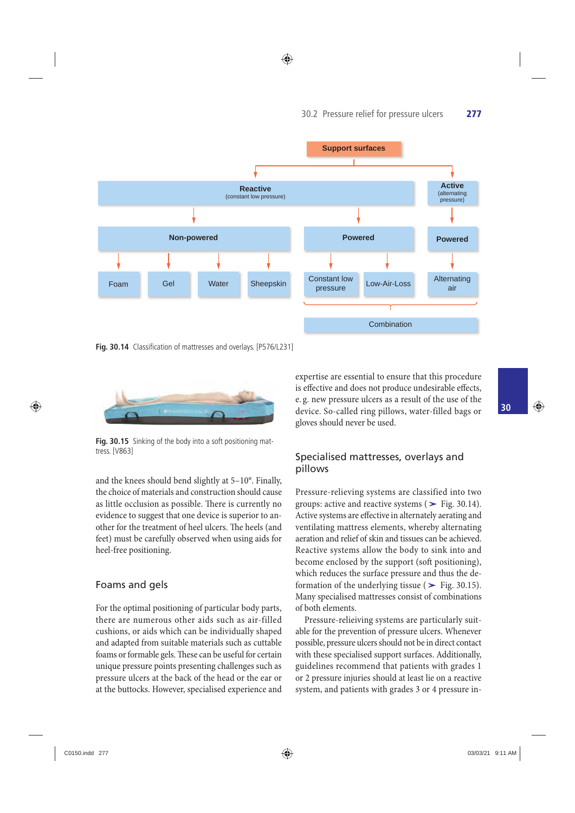◈



**Fig. 30.14** Classification of mattresses and overlays. [P576/L231]



Fig. 30.15 Sinking of the body into a soft positioning mattress. [V863]

and the knees should bend slightly at 5–10°. Finally, the choice of materials and construction should cause as little occlusion as possible. There is currently no evidence to suggest that one device is superior to another for the treatment of heel ulcers. The heels (and feet) must be carefully observed when using aids for heel-free positioning.

#### Foams and gels

 For the optimal positioning of particular body parts, there are numerous other aids such as air-filled cushions, or aids which can be individually shaped and adapted from suitable materials such as cuttable foams or formable gels. These can be useful for certain unique pressure points presenting challenges such as pressure ulcers at the back of the head or the ear or at the buttocks. However, specialised experience and

expertise are essential to ensure that this procedure is effective and does not produce undesirable effects, e. g. new pressure ulcers as a result of the use of the device. So-called ring pillows, water-filled bags or gloves should never be used.

#### Specialised mattresses, overlays and pillows

 Pressure-relieving systems are classified into two p1110ws<br>Pressure-relieving systems are classified into two<br>groups: active and reactive systems (> Fig. 30.14). Active systems are effective in alternately aerating and ventilating mattress elements, whereby alternating aeration and relief of skin and tissues can be achieved. Reactive systems allow the body to sink into and become enclosed by the support (soft positioning), which reduces the surface pressure and thus the de-Reactive systems allow the body to sink into and<br>become enclosed by the support (soft positioning),<br>which reduces the surface pressure and thus the de-<br>formation of the underlying tissue ( $\blacktriangleright$  Fig. 30.15). Many specialised mattresses consist of combinations of both elements.

 Pressure-relieiving systems are particularly suitable for the prevention of pressure ulcers. Whenever possible, pressure ulcers should not be in direct contact with these specialised support surfaces. Additionally, guidelines recommend that patients with grades 1 or 2 pressure injuries should at least lie on a reactive system, and patients with grades 3 or 4 pressure in-

⊕

**30**